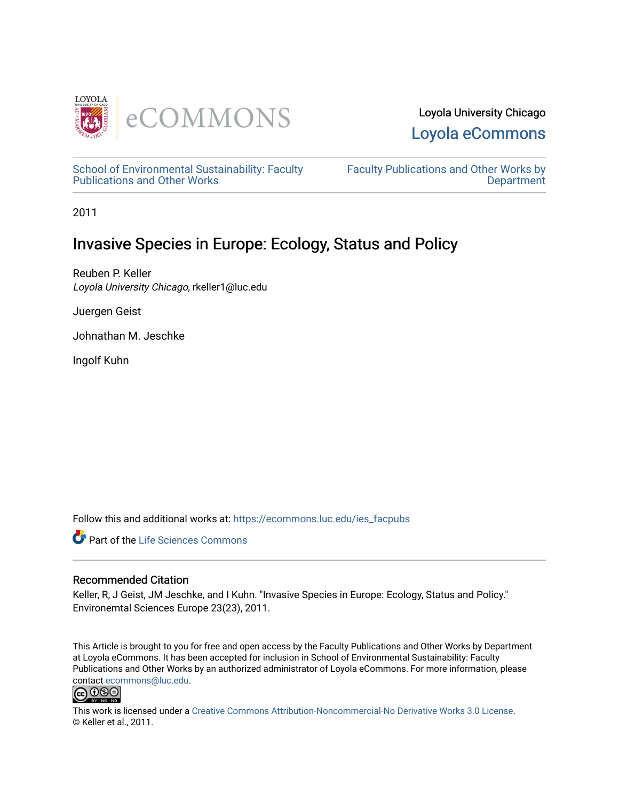

[School of Environmental Sustainability: Faculty](https://ecommons.luc.edu/ies_facpubs)  [Publications and Other Works](https://ecommons.luc.edu/ies_facpubs) 

[Faculty Publications and Other Works by](https://ecommons.luc.edu/faculty)  **Department** 

2011

# Invasive Species in Europe: Ecology, Status and Policy

Reuben P. Keller Loyola University Chicago, rkeller1@luc.edu

Juergen Geist

Johnathan M. Jeschke

Ingolf Kuhn

Follow this and additional works at: [https://ecommons.luc.edu/ies\\_facpubs](https://ecommons.luc.edu/ies_facpubs?utm_source=ecommons.luc.edu%2Fies_facpubs%2F16&utm_medium=PDF&utm_campaign=PDFCoverPages) 

**Part of the Life Sciences Commons** 

# Recommended Citation

Keller, R, J Geist, JM Jeschke, and I Kuhn. "Invasive Species in Europe: Ecology, Status and Policy." Environemtal Sciences Europe 23(23), 2011.

This Article is brought to you for free and open access by the Faculty Publications and Other Works by Department at Loyola eCommons. It has been accepted for inclusion in School of Environmental Sustainability: Faculty Publications and Other Works by an authorized administrator of Loyola eCommons. For more information, please contact [ecommons@luc.edu.](mailto:ecommons@luc.edu)<br>@099



This work is licensed under a [Creative Commons Attribution-Noncommercial-No Derivative Works 3.0 License.](https://creativecommons.org/licenses/by-nc-nd/3.0/) © Keller et al., 2011.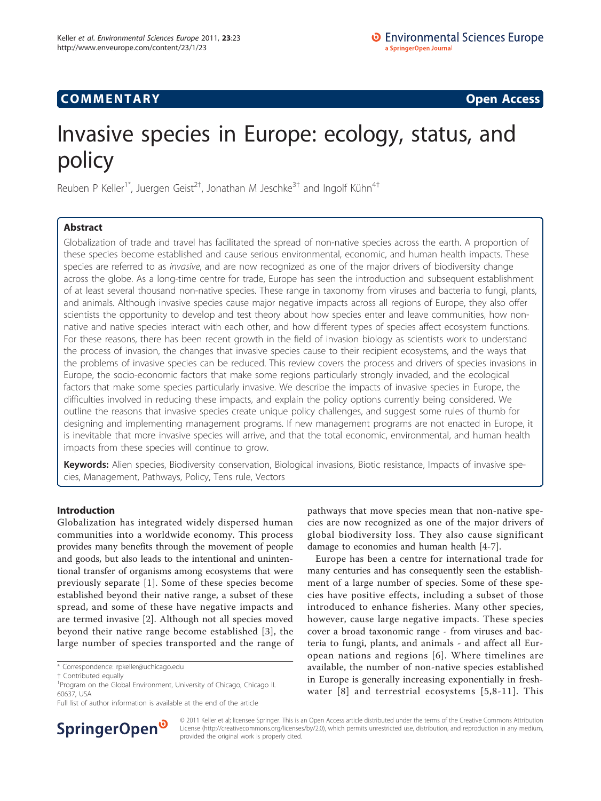# COMM EN TARY Open Access

# Invasive species in Europe: ecology, status, and policy

Reuben P Keller<sup>1\*</sup>, Juergen Geist<sup>2†</sup>, Jonathan M Jeschke<sup>3†</sup> and Ingolf Kühn<sup>4†</sup>

## Abstract

Globalization of trade and travel has facilitated the spread of non-native species across the earth. A proportion of these species become established and cause serious environmental, economic, and human health impacts. These species are referred to as invasive, and are now recognized as one of the major drivers of biodiversity change across the globe. As a long-time centre for trade, Europe has seen the introduction and subsequent establishment of at least several thousand non-native species. These range in taxonomy from viruses and bacteria to fungi, plants, and animals. Although invasive species cause major negative impacts across all regions of Europe, they also offer scientists the opportunity to develop and test theory about how species enter and leave communities, how nonnative and native species interact with each other, and how different types of species affect ecosystem functions. For these reasons, there has been recent growth in the field of invasion biology as scientists work to understand the process of invasion, the changes that invasive species cause to their recipient ecosystems, and the ways that the problems of invasive species can be reduced. This review covers the process and drivers of species invasions in Europe, the socio-economic factors that make some regions particularly strongly invaded, and the ecological factors that make some species particularly invasive. We describe the impacts of invasive species in Europe, the difficulties involved in reducing these impacts, and explain the policy options currently being considered. We outline the reasons that invasive species create unique policy challenges, and suggest some rules of thumb for designing and implementing management programs. If new management programs are not enacted in Europe, it is inevitable that more invasive species will arrive, and that the total economic, environmental, and human health impacts from these species will continue to grow.

Keywords: Alien species, Biodiversity conservation, Biological invasions, Biotic resistance, Impacts of invasive species, Management, Pathways, Policy, Tens rule, Vectors

#### Introduction

Globalization has integrated widely dispersed human communities into a worldwide economy. This process provides many benefits through the movement of people and goods, but also leads to the intentional and unintentional transfer of organisms among ecosystems that were previously separate [[1\]](#page-14-0). Some of these species become established beyond their native range, a subset of these spread, and some of these have negative impacts and are termed invasive [[2](#page-14-0)]. Although not all species moved beyond their native range become established [[3\]](#page-14-0), the large number of species transported and the range of



Europe has been a centre for international trade for many centuries and has consequently seen the establishment of a large number of species. Some of these species have positive effects, including a subset of those introduced to enhance fisheries. Many other species, however, cause large negative impacts. These species cover a broad taxonomic range - from viruses and bacteria to fungi, plants, and animals - and affect all European nations and regions [[6](#page-14-0)]. Where timelines are available, the number of non-native species established in Europe is generally increasing exponentially in freshwater [[8](#page-14-0)] and terrestrial ecosystems [[5](#page-14-0),[8](#page-14-0)-[11](#page-14-0)]. This



© 2011 Keller et al; licensee Springer. This is an Open Access article distributed under the terms of the Creative Commons Attribution License [\(http://creativecommons.org/licenses/by/2.0](http://creativecommons.org/licenses/by/2.0)), which permits unrestricted use, distribution, and reproduction in any medium, provided the original work is properly cited.

<sup>\*</sup> Correspondence: [rpkeller@uchicago.edu](mailto:rpkeller@uchicago.edu)

<sup>†</sup> Contributed equally <sup>1</sup>

<sup>&</sup>lt;sup>1</sup> Program on the Global Environment, University of Chicago, Chicago IL 60637, USA

Full list of author information is available at the end of the article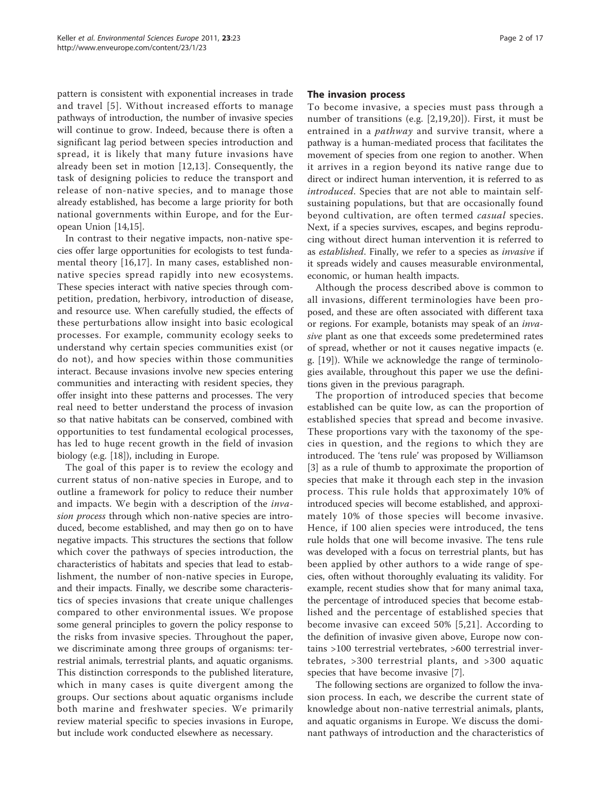pattern is consistent with exponential increases in trade and travel [[5\]](#page-14-0). Without increased efforts to manage pathways of introduction, the number of invasive species will continue to grow. Indeed, because there is often a significant lag period between species introduction and spread, it is likely that many future invasions have already been set in motion [\[12,](#page-14-0)[13](#page-15-0)]. Consequently, the task of designing policies to reduce the transport and release of non-native species, and to manage those already established, has become a large priority for both national governments within Europe, and for the European Union [\[14,15\]](#page-15-0).

In contrast to their negative impacts, non-native species offer large opportunities for ecologists to test fundamental theory [[16,17](#page-15-0)]. In many cases, established nonnative species spread rapidly into new ecosystems. These species interact with native species through competition, predation, herbivory, introduction of disease, and resource use. When carefully studied, the effects of these perturbations allow insight into basic ecological processes. For example, community ecology seeks to understand why certain species communities exist (or do not), and how species within those communities interact. Because invasions involve new species entering communities and interacting with resident species, they offer insight into these patterns and processes. The very real need to better understand the process of invasion so that native habitats can be conserved, combined with opportunities to test fundamental ecological processes, has led to huge recent growth in the field of invasion biology (e.g. [\[18\]](#page-15-0)), including in Europe.

The goal of this paper is to review the ecology and current status of non-native species in Europe, and to outline a framework for policy to reduce their number and impacts. We begin with a description of the invasion process through which non-native species are introduced, become established, and may then go on to have negative impacts. This structures the sections that follow which cover the pathways of species introduction, the characteristics of habitats and species that lead to establishment, the number of non-native species in Europe, and their impacts. Finally, we describe some characteristics of species invasions that create unique challenges compared to other environmental issues. We propose some general principles to govern the policy response to the risks from invasive species. Throughout the paper, we discriminate among three groups of organisms: terrestrial animals, terrestrial plants, and aquatic organisms. This distinction corresponds to the published literature, which in many cases is quite divergent among the groups. Our sections about aquatic organisms include both marine and freshwater species. We primarily review material specific to species invasions in Europe, but include work conducted elsewhere as necessary.

#### The invasion process

To become invasive, a species must pass through a number of transitions (e.g. [[2,](#page-14-0)[19](#page-15-0),[20\]](#page-15-0)). First, it must be entrained in a pathway and survive transit, where a pathway is a human-mediated process that facilitates the movement of species from one region to another. When it arrives in a region beyond its native range due to direct or indirect human intervention, it is referred to as introduced. Species that are not able to maintain selfsustaining populations, but that are occasionally found beyond cultivation, are often termed *casual* species. Next, if a species survives, escapes, and begins reproducing without direct human intervention it is referred to as established. Finally, we refer to a species as invasive if it spreads widely and causes measurable environmental, economic, or human health impacts.

Although the process described above is common to all invasions, different terminologies have been proposed, and these are often associated with different taxa or regions. For example, botanists may speak of an invasive plant as one that exceeds some predetermined rates of spread, whether or not it causes negative impacts (e. g. [\[19](#page-15-0)]). While we acknowledge the range of terminologies available, throughout this paper we use the definitions given in the previous paragraph.

The proportion of introduced species that become established can be quite low, as can the proportion of established species that spread and become invasive. These proportions vary with the taxonomy of the species in question, and the regions to which they are introduced. The 'tens rule' was proposed by Williamson [[3\]](#page-14-0) as a rule of thumb to approximate the proportion of species that make it through each step in the invasion process. This rule holds that approximately 10% of introduced species will become established, and approximately 10% of those species will become invasive. Hence, if 100 alien species were introduced, the tens rule holds that one will become invasive. The tens rule was developed with a focus on terrestrial plants, but has been applied by other authors to a wide range of species, often without thoroughly evaluating its validity. For example, recent studies show that for many animal taxa, the percentage of introduced species that become established and the percentage of established species that become invasive can exceed 50% [[5,](#page-14-0)[21](#page-15-0)]. According to the definition of invasive given above, Europe now contains >100 terrestrial vertebrates, >600 terrestrial invertebrates, >300 terrestrial plants, and >300 aquatic species that have become invasive [\[7](#page-14-0)].

The following sections are organized to follow the invasion process. In each, we describe the current state of knowledge about non-native terrestrial animals, plants, and aquatic organisms in Europe. We discuss the dominant pathways of introduction and the characteristics of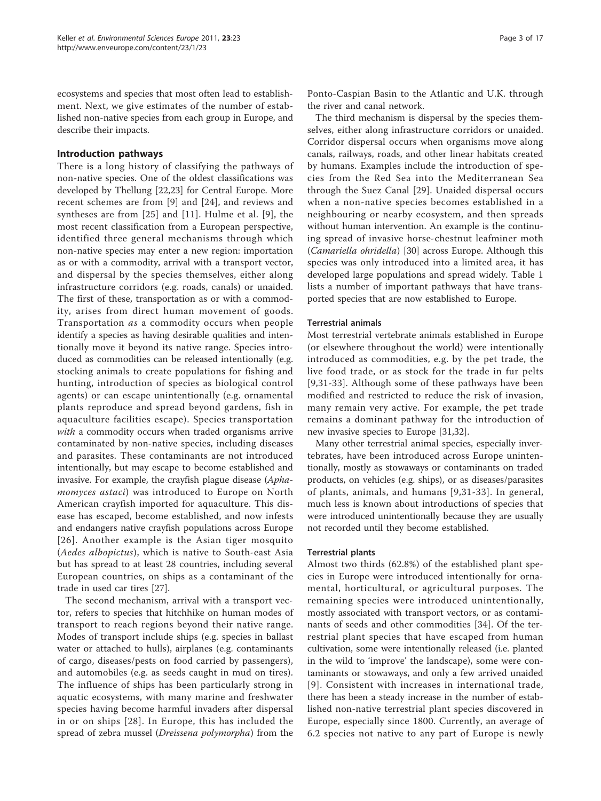ecosystems and species that most often lead to establishment. Next, we give estimates of the number of established non-native species from each group in Europe, and describe their impacts.

#### Introduction pathways

There is a long history of classifying the pathways of non-native species. One of the oldest classifications was developed by Thellung [[22,23\]](#page-15-0) for Central Europe. More recent schemes are from [[9\]](#page-14-0) and [[24\]](#page-15-0), and reviews and syntheses are from [[25](#page-15-0)] and [\[11\]](#page-14-0). Hulme et al. [[9](#page-14-0)], the most recent classification from a European perspective, identified three general mechanisms through which non-native species may enter a new region: importation as or with a commodity, arrival with a transport vector, and dispersal by the species themselves, either along infrastructure corridors (e.g. roads, canals) or unaided. The first of these, transportation as or with a commodity, arises from direct human movement of goods. Transportation as a commodity occurs when people identify a species as having desirable qualities and intentionally move it beyond its native range. Species introduced as commodities can be released intentionally (e.g. stocking animals to create populations for fishing and hunting, introduction of species as biological control agents) or can escape unintentionally (e.g. ornamental plants reproduce and spread beyond gardens, fish in aquaculture facilities escape). Species transportation with a commodity occurs when traded organisms arrive contaminated by non-native species, including diseases and parasites. These contaminants are not introduced intentionally, but may escape to become established and invasive. For example, the crayfish plague disease (Aphamomyces astaci) was introduced to Europe on North American crayfish imported for aquaculture. This disease has escaped, become established, and now infests and endangers native crayfish populations across Europe [[26](#page-15-0)]. Another example is the Asian tiger mosquito (Aedes albopictus), which is native to South-east Asia but has spread to at least 28 countries, including several European countries, on ships as a contaminant of the trade in used car tires [\[27](#page-15-0)].

The second mechanism, arrival with a transport vector, refers to species that hitchhike on human modes of transport to reach regions beyond their native range. Modes of transport include ships (e.g. species in ballast water or attached to hulls), airplanes (e.g. contaminants of cargo, diseases/pests on food carried by passengers), and automobiles (e.g. as seeds caught in mud on tires). The influence of ships has been particularly strong in aquatic ecosystems, with many marine and freshwater species having become harmful invaders after dispersal in or on ships [[28](#page-15-0)]. In Europe, this has included the spread of zebra mussel (Dreissena polymorpha) from the Ponto-Caspian Basin to the Atlantic and U.K. through the river and canal network.

The third mechanism is dispersal by the species themselves, either along infrastructure corridors or unaided. Corridor dispersal occurs when organisms move along canals, railways, roads, and other linear habitats created by humans. Examples include the introduction of species from the Red Sea into the Mediterranean Sea through the Suez Canal [[29\]](#page-15-0). Unaided dispersal occurs when a non-native species becomes established in a neighbouring or nearby ecosystem, and then spreads without human intervention. An example is the continuing spread of invasive horse-chestnut leafminer moth (Camariella ohridella) [\[30\]](#page-15-0) across Europe. Although this species was only introduced into a limited area, it has developed large populations and spread widely. Table [1](#page-4-0) lists a number of important pathways that have transported species that are now established to Europe.

#### Terrestrial animals

Most terrestrial vertebrate animals established in Europe (or elsewhere throughout the world) were intentionally introduced as commodities, e.g. by the pet trade, the live food trade, or as stock for the trade in fur pelts [[9](#page-14-0)[,31-33](#page-15-0)]. Although some of these pathways have been modified and restricted to reduce the risk of invasion, many remain very active. For example, the pet trade remains a dominant pathway for the introduction of new invasive species to Europe [\[31,32](#page-15-0)].

Many other terrestrial animal species, especially invertebrates, have been introduced across Europe unintentionally, mostly as stowaways or contaminants on traded products, on vehicles (e.g. ships), or as diseases/parasites of plants, animals, and humans [[9](#page-14-0),[31-33](#page-15-0)]. In general, much less is known about introductions of species that were introduced unintentionally because they are usually not recorded until they become established.

#### Terrestrial plants

Almost two thirds (62.8%) of the established plant species in Europe were introduced intentionally for ornamental, horticultural, or agricultural purposes. The remaining species were introduced unintentionally, mostly associated with transport vectors, or as contaminants of seeds and other commodities [\[34](#page-15-0)]. Of the terrestrial plant species that have escaped from human cultivation, some were intentionally released (i.e. planted in the wild to 'improve' the landscape), some were contaminants or stowaways, and only a few arrived unaided [[9\]](#page-14-0). Consistent with increases in international trade, there has been a steady increase in the number of established non-native terrestrial plant species discovered in Europe, especially since 1800. Currently, an average of 6.2 species not native to any part of Europe is newly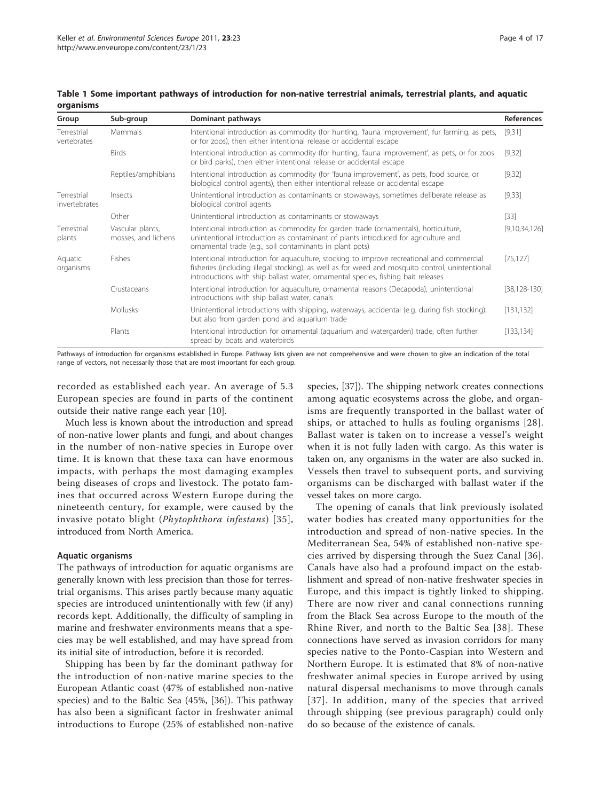| Group                        | Sub-group                               | Dominant pathways                                                                                                                                                                                                                                                                | <b>References</b> |
|------------------------------|-----------------------------------------|----------------------------------------------------------------------------------------------------------------------------------------------------------------------------------------------------------------------------------------------------------------------------------|-------------------|
| Terrestrial<br>vertebrates   | Mammals                                 | Intentional introduction as commodity (for hunting, 'fauna improvement', fur farming, as pets,<br>or for zoos), then either intentional release or accidental escape                                                                                                             | [9,31]            |
|                              | <b>Birds</b>                            | Intentional introduction as commodity (for hunting, 'fauna improvement', as pets, or for zoos<br>or bird parks), then either intentional release or accidental escape                                                                                                            | [9,32]            |
|                              | Reptiles/amphibians                     | Intentional introduction as commodity (for 'fauna improvement', as pets, food source, or<br>biological control agents), then either intentional release or accidental escape                                                                                                     | [9,32]            |
| Terrestrial<br>invertebrates | Insects                                 | Unintentional introduction as contaminants or stowaways, sometimes deliberate release as<br>biological control agents                                                                                                                                                            | [9,33]            |
|                              | Other                                   | Unintentional introduction as contaminants or stowaways                                                                                                                                                                                                                          | [33]              |
| Terrestrial<br>plants        | Vascular plants,<br>mosses, and lichens | Intentional introduction as commodity for garden trade (ornamentals), horticulture,<br>unintentional introduction as contaminant of plants introduced for agriculture and<br>ornamental trade (e.g., soil contaminants in plant pots)                                            | [9,10,34,126]     |
| Aquatic<br>organisms         | Fishes                                  | Intentional introduction for aquaculture, stocking to improve recreational and commercial<br>fisheries (including illegal stocking), as well as for weed and mosquito control, unintentional<br>introductions with ship ballast water, ornamental species, fishing bait releases | [75, 127]         |
|                              | Crustaceans                             | Intentional introduction for aquaculture, ornamental reasons (Decapoda), unintentional<br>introductions with ship ballast water, canals                                                                                                                                          | $[38, 128 - 130]$ |
|                              | <b>Mollusks</b>                         | Unintentional introductions with shipping, waterways, accidental (e.g. during fish stocking),<br>but also from garden pond and aquarium trade                                                                                                                                    | [131, 132]        |
|                              | Plants                                  | Intentional introduction for ornamental (aquarium and watergarden) trade, often further<br>spread by boats and waterbirds                                                                                                                                                        | [133, 134]        |

<span id="page-4-0"></span>Table 1 Some important pathways of introduction for non-native terrestrial animals, terrestrial plants, and aquatic organisms

Pathways of introduction for organisms established in Europe. Pathway lists given are not comprehensive and were chosen to give an indication of the total range of vectors, not necessarily those that are most important for each group.

recorded as established each year. An average of 5.3 European species are found in parts of the continent outside their native range each year [[10\]](#page-14-0).

Much less is known about the introduction and spread of non-native lower plants and fungi, and about changes in the number of non-native species in Europe over time. It is known that these taxa can have enormous impacts, with perhaps the most damaging examples being diseases of crops and livestock. The potato famines that occurred across Western Europe during the nineteenth century, for example, were caused by the invasive potato blight (Phytophthora infestans) [[35\]](#page-15-0), introduced from North America.

#### Aquatic organisms

The pathways of introduction for aquatic organisms are generally known with less precision than those for terrestrial organisms. This arises partly because many aquatic species are introduced unintentionally with few (if any) records kept. Additionally, the difficulty of sampling in marine and freshwater environments means that a species may be well established, and may have spread from its initial site of introduction, before it is recorded.

Shipping has been by far the dominant pathway for the introduction of non-native marine species to the European Atlantic coast (47% of established non-native species) and to the Baltic Sea (45%, [\[36](#page-15-0)]). This pathway has also been a significant factor in freshwater animal introductions to Europe (25% of established non-native

species, [[37\]](#page-15-0)). The shipping network creates connections among aquatic ecosystems across the globe, and organisms are frequently transported in the ballast water of ships, or attached to hulls as fouling organisms [\[28\]](#page-15-0). Ballast water is taken on to increase a vessel's weight when it is not fully laden with cargo. As this water is taken on, any organisms in the water are also sucked in. Vessels then travel to subsequent ports, and surviving organisms can be discharged with ballast water if the vessel takes on more cargo.

The opening of canals that link previously isolated water bodies has created many opportunities for the introduction and spread of non-native species. In the Mediterranean Sea, 54% of established non-native species arrived by dispersing through the Suez Canal [[36](#page-15-0)]. Canals have also had a profound impact on the establishment and spread of non-native freshwater species in Europe, and this impact is tightly linked to shipping. There are now river and canal connections running from the Black Sea across Europe to the mouth of the Rhine River, and north to the Baltic Sea [\[38\]](#page-15-0). These connections have served as invasion corridors for many species native to the Ponto-Caspian into Western and Northern Europe. It is estimated that 8% of non-native freshwater animal species in Europe arrived by using natural dispersal mechanisms to move through canals [[37](#page-15-0)]. In addition, many of the species that arrived through shipping (see previous paragraph) could only do so because of the existence of canals.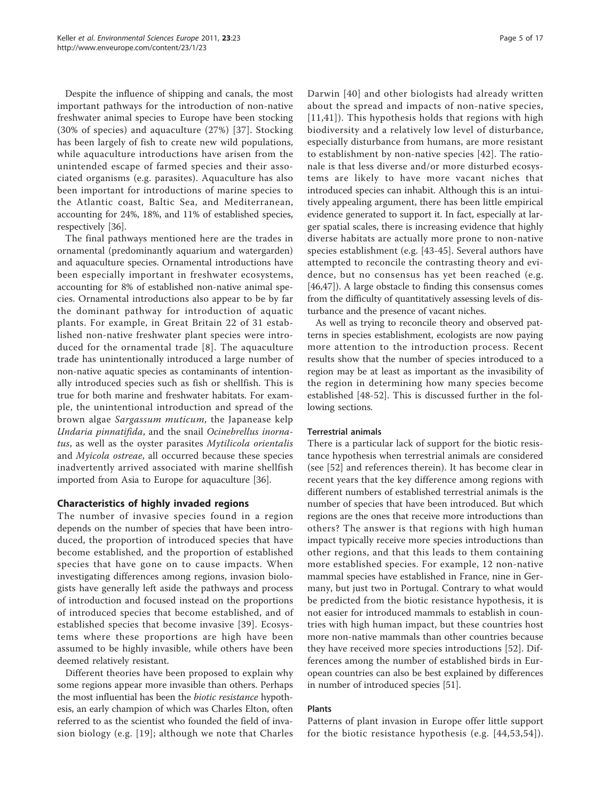Despite the influence of shipping and canals, the most important pathways for the introduction of non-native freshwater animal species to Europe have been stocking (30% of species) and aquaculture (27%) [[37](#page-15-0)]. Stocking has been largely of fish to create new wild populations, while aquaculture introductions have arisen from the unintended escape of farmed species and their associated organisms (e.g. parasites). Aquaculture has also been important for introductions of marine species to the Atlantic coast, Baltic Sea, and Mediterranean, accounting for 24%, 18%, and 11% of established species, respectively [\[36](#page-15-0)].

The final pathways mentioned here are the trades in ornamental (predominantly aquarium and watergarden) and aquaculture species. Ornamental introductions have been especially important in freshwater ecosystems, accounting for 8% of established non-native animal species. Ornamental introductions also appear to be by far the dominant pathway for introduction of aquatic plants. For example, in Great Britain 22 of 31 established non-native freshwater plant species were introduced for the ornamental trade [\[8\]](#page-14-0). The aquaculture trade has unintentionally introduced a large number of non-native aquatic species as contaminants of intentionally introduced species such as fish or shellfish. This is true for both marine and freshwater habitats. For example, the unintentional introduction and spread of the brown algae Sargassum muticum, the Japanease kelp Undaria pinnatifida, and the snail Ocinebrellus inornatus, as well as the oyster parasites Mytilicola orientalis and Myicola ostreae, all occurred because these species inadvertently arrived associated with marine shellfish imported from Asia to Europe for aquaculture [\[36\]](#page-15-0).

#### Characteristics of highly invaded regions

The number of invasive species found in a region depends on the number of species that have been introduced, the proportion of introduced species that have become established, and the proportion of established species that have gone on to cause impacts. When investigating differences among regions, invasion biologists have generally left aside the pathways and process of introduction and focused instead on the proportions of introduced species that become established, and of established species that become invasive [[39](#page-15-0)]. Ecosystems where these proportions are high have been assumed to be highly invasible, while others have been deemed relatively resistant.

Different theories have been proposed to explain why some regions appear more invasible than others. Perhaps the most influential has been the biotic resistance hypothesis, an early champion of which was Charles Elton, often referred to as the scientist who founded the field of invasion biology (e.g. [[19\]](#page-15-0); although we note that Charles Darwin [[40](#page-15-0)] and other biologists had already written about the spread and impacts of non-native species, [[11,](#page-14-0)[41](#page-15-0)]). This hypothesis holds that regions with high biodiversity and a relatively low level of disturbance, especially disturbance from humans, are more resistant to establishment by non-native species [\[42\]](#page-15-0). The rationale is that less diverse and/or more disturbed ecosystems are likely to have more vacant niches that introduced species can inhabit. Although this is an intuitively appealing argument, there has been little empirical evidence generated to support it. In fact, especially at larger spatial scales, there is increasing evidence that highly diverse habitats are actually more prone to non-native species establishment (e.g. [[43-45](#page-15-0)]. Several authors have attempted to reconcile the contrasting theory and evidence, but no consensus has yet been reached (e.g. [[46,47\]](#page-15-0)). A large obstacle to finding this consensus comes from the difficulty of quantitatively assessing levels of disturbance and the presence of vacant niches.

As well as trying to reconcile theory and observed patterns in species establishment, ecologists are now paying more attention to the introduction process. Recent results show that the number of species introduced to a region may be at least as important as the invasibility of the region in determining how many species become established [[48-52\]](#page-15-0). This is discussed further in the following sections.

#### Terrestrial animals

There is a particular lack of support for the biotic resistance hypothesis when terrestrial animals are considered (see [\[52](#page-15-0)] and references therein). It has become clear in recent years that the key difference among regions with different numbers of established terrestrial animals is the number of species that have been introduced. But which regions are the ones that receive more introductions than others? The answer is that regions with high human impact typically receive more species introductions than other regions, and that this leads to them containing more established species. For example, 12 non-native mammal species have established in France, nine in Germany, but just two in Portugal. Contrary to what would be predicted from the biotic resistance hypothesis, it is not easier for introduced mammals to establish in countries with high human impact, but these countries host more non-native mammals than other countries because they have received more species introductions [[52\]](#page-15-0). Differences among the number of established birds in European countries can also be best explained by differences in number of introduced species [[51\]](#page-15-0).

#### Plants

Patterns of plant invasion in Europe offer little support for the biotic resistance hypothesis (e.g. [[44,53](#page-15-0),[54](#page-15-0)]).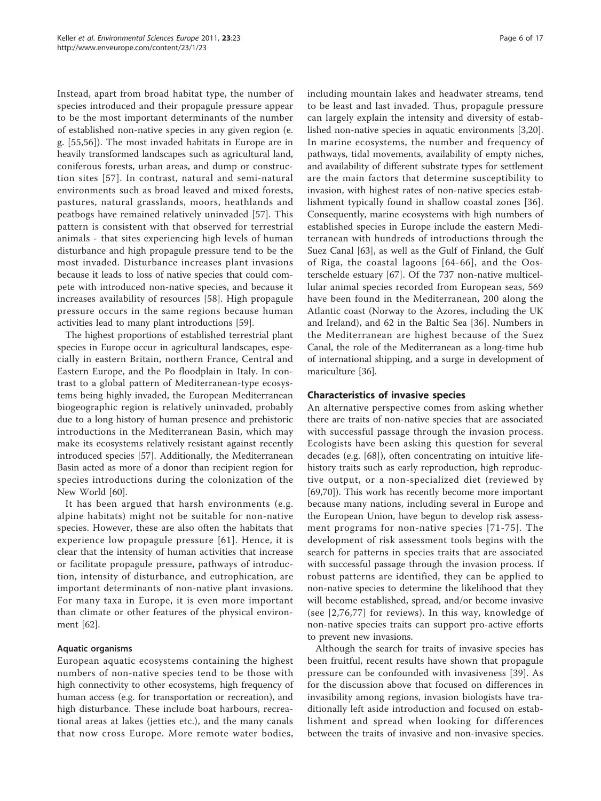Instead, apart from broad habitat type, the number of species introduced and their propagule pressure appear to be the most important determinants of the number of established non-native species in any given region (e. g. [\[55,56\]](#page-15-0)). The most invaded habitats in Europe are in heavily transformed landscapes such as agricultural land, coniferous forests, urban areas, and dump or construction sites [[57](#page-15-0)]. In contrast, natural and semi-natural environments such as broad leaved and mixed forests, pastures, natural grasslands, moors, heathlands and peatbogs have remained relatively uninvaded [[57](#page-15-0)]. This pattern is consistent with that observed for terrestrial animals - that sites experiencing high levels of human disturbance and high propagule pressure tend to be the most invaded. Disturbance increases plant invasions because it leads to loss of native species that could compete with introduced non-native species, and because it increases availability of resources [\[58](#page-15-0)]. High propagule pressure occurs in the same regions because human activities lead to many plant introductions [[59\]](#page-15-0).

The highest proportions of established terrestrial plant species in Europe occur in agricultural landscapes, especially in eastern Britain, northern France, Central and Eastern Europe, and the Po floodplain in Italy. In contrast to a global pattern of Mediterranean-type ecosystems being highly invaded, the European Mediterranean biogeographic region is relatively uninvaded, probably due to a long history of human presence and prehistoric introductions in the Mediterranean Basin, which may make its ecosystems relatively resistant against recently introduced species [[57\]](#page-15-0). Additionally, the Mediterranean Basin acted as more of a donor than recipient region for species introductions during the colonization of the New World [\[60](#page-15-0)].

It has been argued that harsh environments (e.g. alpine habitats) might not be suitable for non-native species. However, these are also often the habitats that experience low propagule pressure [[61\]](#page-15-0). Hence, it is clear that the intensity of human activities that increase or facilitate propagule pressure, pathways of introduction, intensity of disturbance, and eutrophication, are important determinants of non-native plant invasions. For many taxa in Europe, it is even more important than climate or other features of the physical environment [\[62\]](#page-15-0).

#### Aquatic organisms

European aquatic ecosystems containing the highest numbers of non-native species tend to be those with high connectivity to other ecosystems, high frequency of human access (e.g. for transportation or recreation), and high disturbance. These include boat harbours, recreational areas at lakes (jetties etc.), and the many canals that now cross Europe. More remote water bodies, including mountain lakes and headwater streams, tend to be least and last invaded. Thus, propagule pressure can largely explain the intensity and diversity of established non-native species in aquatic environments [\[3](#page-14-0),[20](#page-15-0)]. In marine ecosystems, the number and frequency of pathways, tidal movements, availability of empty niches, and availability of different substrate types for settlement are the main factors that determine susceptibility to invasion, with highest rates of non-native species establishment typically found in shallow coastal zones [[36](#page-15-0)]. Consequently, marine ecosystems with high numbers of established species in Europe include the eastern Mediterranean with hundreds of introductions through the Suez Canal [\[63](#page-16-0)], as well as the Gulf of Finland, the Gulf of Riga, the coastal lagoons [[64](#page-16-0)-[66\]](#page-16-0), and the Oosterschelde estuary [\[67](#page-16-0)]. Of the 737 non-native multicellular animal species recorded from European seas, 569 have been found in the Mediterranean, 200 along the Atlantic coast (Norway to the Azores, including the UK and Ireland), and 62 in the Baltic Sea [[36\]](#page-15-0). Numbers in the Mediterranean are highest because of the Suez Canal, the role of the Mediterranean as a long-time hub of international shipping, and a surge in development of mariculture [[36](#page-15-0)].

#### Characteristics of invasive species

An alternative perspective comes from asking whether there are traits of non-native species that are associated with successful passage through the invasion process. Ecologists have been asking this question for several decades (e.g. [[68\]](#page-16-0)), often concentrating on intuitive lifehistory traits such as early reproduction, high reproductive output, or a non-specialized diet (reviewed by [[69,70\]](#page-16-0)). This work has recently become more important because many nations, including several in Europe and the European Union, have begun to develop risk assessment programs for non-native species [[71-75](#page-16-0)]. The development of risk assessment tools begins with the search for patterns in species traits that are associated with successful passage through the invasion process. If robust patterns are identified, they can be applied to non-native species to determine the likelihood that they will become established, spread, and/or become invasive (see [[2](#page-14-0),[76,77\]](#page-16-0) for reviews). In this way, knowledge of non-native species traits can support pro-active efforts to prevent new invasions.

Although the search for traits of invasive species has been fruitful, recent results have shown that propagule pressure can be confounded with invasiveness [[39\]](#page-15-0). As for the discussion above that focused on differences in invasibility among regions, invasion biologists have traditionally left aside introduction and focused on establishment and spread when looking for differences between the traits of invasive and non-invasive species.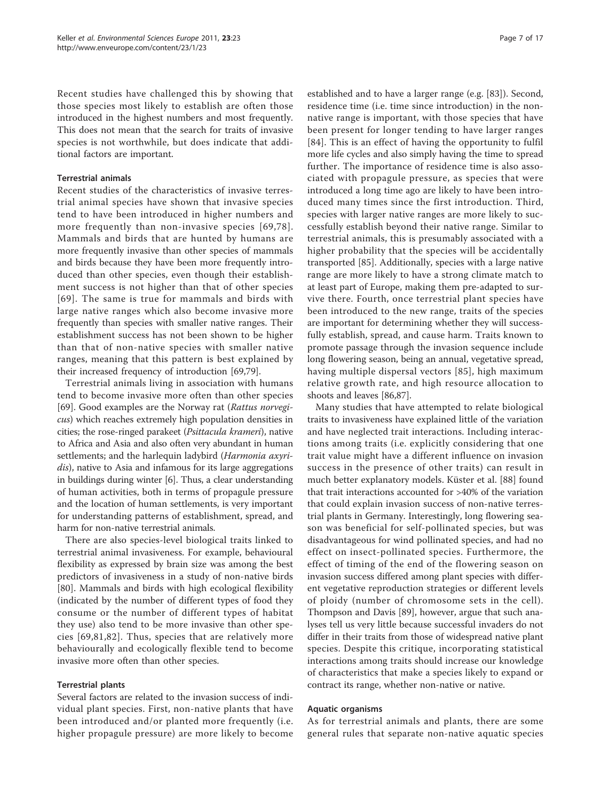Recent studies have challenged this by showing that those species most likely to establish are often those introduced in the highest numbers and most frequently. This does not mean that the search for traits of invasive species is not worthwhile, but does indicate that additional factors are important.

#### Terrestrial animals

Recent studies of the characteristics of invasive terrestrial animal species have shown that invasive species tend to have been introduced in higher numbers and more frequently than non-invasive species [[69](#page-16-0),[78\]](#page-16-0). Mammals and birds that are hunted by humans are more frequently invasive than other species of mammals and birds because they have been more frequently introduced than other species, even though their establishment success is not higher than that of other species [[69](#page-16-0)]. The same is true for mammals and birds with large native ranges which also become invasive more frequently than species with smaller native ranges. Their establishment success has not been shown to be higher than that of non-native species with smaller native ranges, meaning that this pattern is best explained by their increased frequency of introduction [[69,79](#page-16-0)].

Terrestrial animals living in association with humans tend to become invasive more often than other species [[69\]](#page-16-0). Good examples are the Norway rat (Rattus norvegicus) which reaches extremely high population densities in cities; the rose-ringed parakeet (Psittacula krameri), native to Africa and Asia and also often very abundant in human settlements; and the harlequin ladybird (Harmonia axyridis), native to Asia and infamous for its large aggregations in buildings during winter [[6](#page-14-0)]. Thus, a clear understanding of human activities, both in terms of propagule pressure and the location of human settlements, is very important for understanding patterns of establishment, spread, and harm for non-native terrestrial animals.

There are also species-level biological traits linked to terrestrial animal invasiveness. For example, behavioural flexibility as expressed by brain size was among the best predictors of invasiveness in a study of non-native birds [[80\]](#page-16-0). Mammals and birds with high ecological flexibility (indicated by the number of different types of food they consume or the number of different types of habitat they use) also tend to be more invasive than other species [[69](#page-16-0),[81](#page-16-0),[82](#page-16-0)]. Thus, species that are relatively more behaviourally and ecologically flexible tend to become invasive more often than other species.

#### Terrestrial plants

Several factors are related to the invasion success of individual plant species. First, non-native plants that have been introduced and/or planted more frequently (i.e. higher propagule pressure) are more likely to become established and to have a larger range (e.g. [\[83](#page-16-0)]). Second, residence time (i.e. time since introduction) in the nonnative range is important, with those species that have been present for longer tending to have larger ranges [[84](#page-16-0)]. This is an effect of having the opportunity to fulfil more life cycles and also simply having the time to spread further. The importance of residence time is also associated with propagule pressure, as species that were introduced a long time ago are likely to have been introduced many times since the first introduction. Third, species with larger native ranges are more likely to successfully establish beyond their native range. Similar to terrestrial animals, this is presumably associated with a higher probability that the species will be accidentally transported [\[85](#page-16-0)]. Additionally, species with a large native range are more likely to have a strong climate match to at least part of Europe, making them pre-adapted to survive there. Fourth, once terrestrial plant species have been introduced to the new range, traits of the species are important for determining whether they will successfully establish, spread, and cause harm. Traits known to promote passage through the invasion sequence include long flowering season, being an annual, vegetative spread, having multiple dispersal vectors [[85](#page-16-0)], high maximum relative growth rate, and high resource allocation to shoots and leaves [\[86,87\]](#page-16-0).

Many studies that have attempted to relate biological traits to invasiveness have explained little of the variation and have neglected trait interactions. Including interactions among traits (i.e. explicitly considering that one trait value might have a different influence on invasion success in the presence of other traits) can result in much better explanatory models. Küster et al. [[88\]](#page-16-0) found that trait interactions accounted for >40% of the variation that could explain invasion success of non-native terrestrial plants in Germany. Interestingly, long flowering season was beneficial for self-pollinated species, but was disadvantageous for wind pollinated species, and had no effect on insect-pollinated species. Furthermore, the effect of timing of the end of the flowering season on invasion success differed among plant species with different vegetative reproduction strategies or different levels of ploidy (number of chromosome sets in the cell). Thompson and Davis [\[89\]](#page-16-0), however, argue that such analyses tell us very little because successful invaders do not differ in their traits from those of widespread native plant species. Despite this critique, incorporating statistical interactions among traits should increase our knowledge of characteristics that make a species likely to expand or contract its range, whether non-native or native.

#### Aquatic organisms

As for terrestrial animals and plants, there are some general rules that separate non-native aquatic species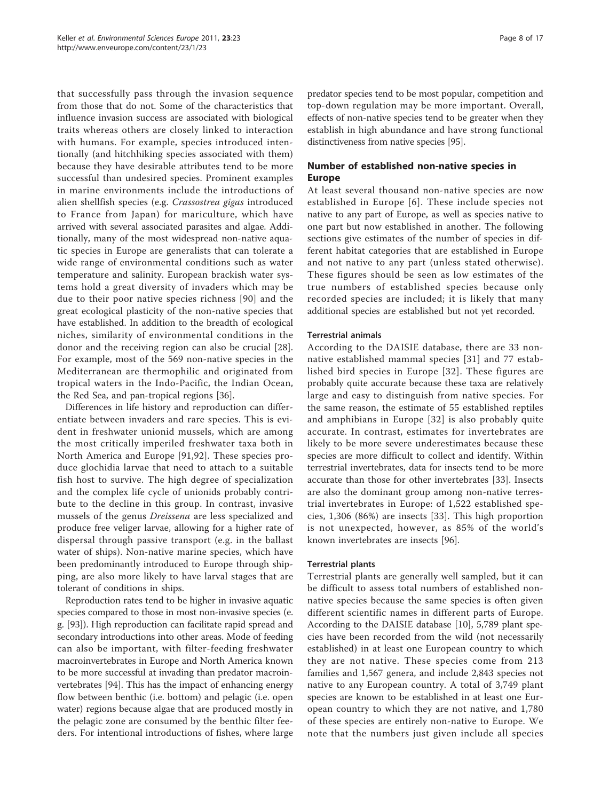that successfully pass through the invasion sequence from those that do not. Some of the characteristics that influence invasion success are associated with biological traits whereas others are closely linked to interaction with humans. For example, species introduced intentionally (and hitchhiking species associated with them) because they have desirable attributes tend to be more successful than undesired species. Prominent examples in marine environments include the introductions of alien shellfish species (e.g. Crassostrea gigas introduced to France from Japan) for mariculture, which have arrived with several associated parasites and algae. Additionally, many of the most widespread non-native aquatic species in Europe are generalists that can tolerate a wide range of environmental conditions such as water temperature and salinity. European brackish water systems hold a great diversity of invaders which may be due to their poor native species richness [[90](#page-16-0)] and the great ecological plasticity of the non-native species that have established. In addition to the breadth of ecological niches, similarity of environmental conditions in the donor and the receiving region can also be crucial [\[28](#page-15-0)]. For example, most of the 569 non-native species in the Mediterranean are thermophilic and originated from tropical waters in the Indo-Pacific, the Indian Ocean, the Red Sea, and pan-tropical regions [\[36](#page-15-0)].

Differences in life history and reproduction can differentiate between invaders and rare species. This is evident in freshwater unionid mussels, which are among the most critically imperiled freshwater taxa both in North America and Europe [[91,92](#page-16-0)]. These species produce glochidia larvae that need to attach to a suitable fish host to survive. The high degree of specialization and the complex life cycle of unionids probably contribute to the decline in this group. In contrast, invasive mussels of the genus Dreissena are less specialized and produce free veliger larvae, allowing for a higher rate of dispersal through passive transport (e.g. in the ballast water of ships). Non-native marine species, which have been predominantly introduced to Europe through shipping, are also more likely to have larval stages that are tolerant of conditions in ships.

Reproduction rates tend to be higher in invasive aquatic species compared to those in most non-invasive species (e. g. [\[93](#page-16-0)]). High reproduction can facilitate rapid spread and secondary introductions into other areas. Mode of feeding can also be important, with filter-feeding freshwater macroinvertebrates in Europe and North America known to be more successful at invading than predator macroinvertebrates [\[94\]](#page-16-0). This has the impact of enhancing energy flow between benthic (i.e. bottom) and pelagic (i.e. open water) regions because algae that are produced mostly in the pelagic zone are consumed by the benthic filter feeders. For intentional introductions of fishes, where large

predator species tend to be most popular, competition and top-down regulation may be more important. Overall, effects of non-native species tend to be greater when they establish in high abundance and have strong functional distinctiveness from native species [[95](#page-16-0)].

### Number of established non-native species in Europe

At least several thousand non-native species are now established in Europe [[6\]](#page-14-0). These include species not native to any part of Europe, as well as species native to one part but now established in another. The following sections give estimates of the number of species in different habitat categories that are established in Europe and not native to any part (unless stated otherwise). These figures should be seen as low estimates of the true numbers of established species because only recorded species are included; it is likely that many additional species are established but not yet recorded.

#### Terrestrial animals

According to the DAISIE database, there are 33 nonnative established mammal species [[31\]](#page-15-0) and 77 established bird species in Europe [[32](#page-15-0)]. These figures are probably quite accurate because these taxa are relatively large and easy to distinguish from native species. For the same reason, the estimate of 55 established reptiles and amphibians in Europe [[32\]](#page-15-0) is also probably quite accurate. In contrast, estimates for invertebrates are likely to be more severe underestimates because these species are more difficult to collect and identify. Within terrestrial invertebrates, data for insects tend to be more accurate than those for other invertebrates [\[33](#page-15-0)]. Insects are also the dominant group among non-native terrestrial invertebrates in Europe: of 1,522 established species, 1,306 (86%) are insects [\[33](#page-15-0)]. This high proportion is not unexpected, however, as 85% of the world's known invertebrates are insects [[96](#page-16-0)].

#### Terrestrial plants

Terrestrial plants are generally well sampled, but it can be difficult to assess total numbers of established nonnative species because the same species is often given different scientific names in different parts of Europe. According to the DAISIE database [\[10\]](#page-14-0), 5,789 plant species have been recorded from the wild (not necessarily established) in at least one European country to which they are not native. These species come from 213 families and 1,567 genera, and include 2,843 species not native to any European country. A total of 3,749 plant species are known to be established in at least one European country to which they are not native, and 1,780 of these species are entirely non-native to Europe. We note that the numbers just given include all species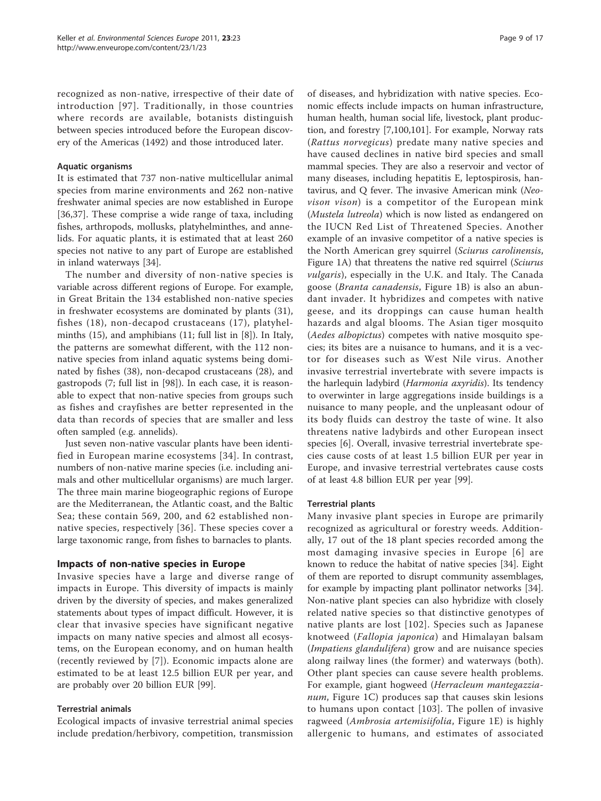recognized as non-native, irrespective of their date of introduction [[97\]](#page-16-0). Traditionally, in those countries where records are available, botanists distinguish between species introduced before the European discovery of the Americas (1492) and those introduced later.

#### Aquatic organisms

It is estimated that 737 non-native multicellular animal species from marine environments and 262 non-native freshwater animal species are now established in Europe [[36,37](#page-15-0)]. These comprise a wide range of taxa, including fishes, arthropods, mollusks, platyhelminthes, and annelids. For aquatic plants, it is estimated that at least 260 species not native to any part of Europe are established in inland waterways [[34](#page-15-0)].

The number and diversity of non-native species is variable across different regions of Europe. For example, in Great Britain the 134 established non-native species in freshwater ecosystems are dominated by plants (31), fishes (18), non-decapod crustaceans (17), platyhelminths (15), and amphibians (11; full list in [\[8](#page-14-0)]). In Italy, the patterns are somewhat different, with the 112 nonnative species from inland aquatic systems being dominated by fishes (38), non-decapod crustaceans (28), and gastropods (7; full list in [[98\]](#page-16-0)). In each case, it is reasonable to expect that non-native species from groups such as fishes and crayfishes are better represented in the data than records of species that are smaller and less often sampled (e.g. annelids).

Just seven non-native vascular plants have been identified in European marine ecosystems [[34](#page-15-0)]. In contrast, numbers of non-native marine species (i.e. including animals and other multicellular organisms) are much larger. The three main marine biogeographic regions of Europe are the Mediterranean, the Atlantic coast, and the Baltic Sea; these contain 569, 200, and 62 established nonnative species, respectively [\[36\]](#page-15-0). These species cover a large taxonomic range, from fishes to barnacles to plants.

#### Impacts of non-native species in Europe

Invasive species have a large and diverse range of impacts in Europe. This diversity of impacts is mainly driven by the diversity of species, and makes generalized statements about types of impact difficult. However, it is clear that invasive species have significant negative impacts on many native species and almost all ecosystems, on the European economy, and on human health (recently reviewed by [[7\]](#page-14-0)). Economic impacts alone are estimated to be at least 12.5 billion EUR per year, and are probably over 20 billion EUR [[99\]](#page-16-0).

#### Terrestrial animals

Ecological impacts of invasive terrestrial animal species include predation/herbivory, competition, transmission

of diseases, and hybridization with native species. Economic effects include impacts on human infrastructure, human health, human social life, livestock, plant production, and forestry [\[7](#page-14-0)[,100,101](#page-16-0)]. For example, Norway rats (Rattus norvegicus) predate many native species and have caused declines in native bird species and small mammal species. They are also a reservoir and vector of many diseases, including hepatitis E, leptospirosis, hantavirus, and Q fever. The invasive American mink (Neovison vison) is a competitor of the European mink (Mustela lutreola) which is now listed as endangered on the IUCN Red List of Threatened Species. Another example of an invasive competitor of a native species is the North American grey squirrel (Sciurus carolinensis, Figure [1A](#page-10-0)) that threatens the native red squirrel (Sciurus vulgaris), especially in the U.K. and Italy. The Canada goose (Branta canadensis, Figure [1B\)](#page-10-0) is also an abundant invader. It hybridizes and competes with native geese, and its droppings can cause human health hazards and algal blooms. The Asian tiger mosquito (Aedes albopictus) competes with native mosquito species; its bites are a nuisance to humans, and it is a vector for diseases such as West Nile virus. Another invasive terrestrial invertebrate with severe impacts is the harlequin ladybird (*Harmonia axyridis*). Its tendency to overwinter in large aggregations inside buildings is a nuisance to many people, and the unpleasant odour of its body fluids can destroy the taste of wine. It also threatens native ladybirds and other European insect species [\[6](#page-14-0)]. Overall, invasive terrestrial invertebrate species cause costs of at least 1.5 billion EUR per year in Europe, and invasive terrestrial vertebrates cause costs of at least 4.8 billion EUR per year [[99\]](#page-16-0).

#### Terrestrial plants

Many invasive plant species in Europe are primarily recognized as agricultural or forestry weeds. Additionally, 17 out of the 18 plant species recorded among the most damaging invasive species in Europe [[6\]](#page-14-0) are known to reduce the habitat of native species [\[34\]](#page-15-0). Eight of them are reported to disrupt community assemblages, for example by impacting plant pollinator networks [[34](#page-15-0)]. Non-native plant species can also hybridize with closely related native species so that distinctive genotypes of native plants are lost [[102](#page-16-0)]. Species such as Japanese knotweed (Fallopia japonica) and Himalayan balsam (Impatiens glandulifera) grow and are nuisance species along railway lines (the former) and waterways (both). Other plant species can cause severe health problems. For example, giant hogweed (Herracleum mantegazzia-num, Figure [1C](#page-10-0)) produces sap that causes skin lesions to humans upon contact [[103](#page-16-0)]. The pollen of invasive ragweed (Ambrosia artemisiifolia, Figure [1E](#page-10-0)) is highly allergenic to humans, and estimates of associated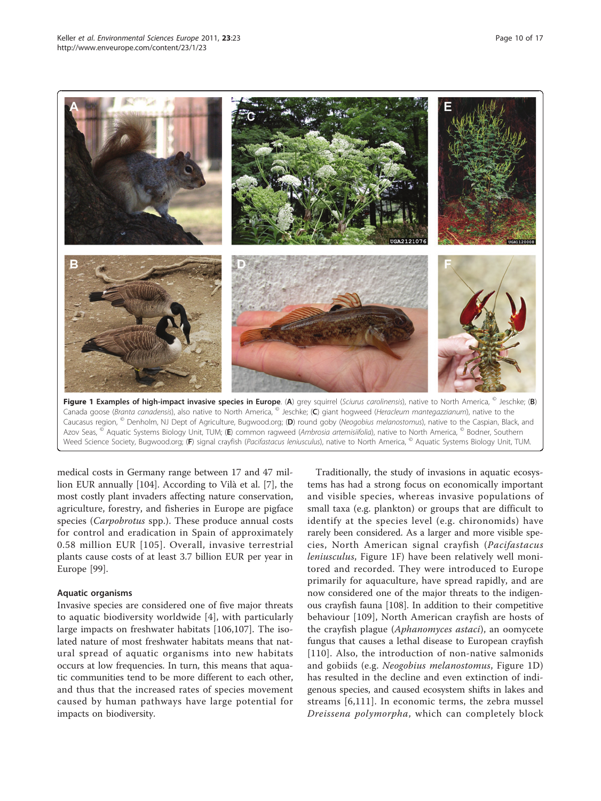<span id="page-10-0"></span>

Canada goose (Branta canadensis), also native to North America,  $^\circ$  Jeschke; (C) giant hogweed (Heracleum mantegazzianum), native to the Caucasus region, © Denholm, NJ Dept of Agriculture, Bugwood.org; (D) round goby (Neogobius melanostomus), native to the Caspian, Black, and Azov Seas, © Aquatic Systems Biology Unit, TUM; (E) common ragweed (Ambrosia artemisiifolia), native to North America, © Bodner, Southern Weed Science Society, Bugwood.org; (F) signal crayfish (Pacifastacus leniusculus), native to North America, <sup>©</sup> Aquatic Systems Biology Unit, TUM.

medical costs in Germany range between 17 and 47 million EUR annually [\[104\]](#page-16-0). According to Vilà et al. [\[7](#page-14-0)], the most costly plant invaders affecting nature conservation, agriculture, forestry, and fisheries in Europe are pigface species (Carpobrotus spp.). These produce annual costs for control and eradication in Spain of approximately 0.58 million EUR [[105](#page-16-0)]. Overall, invasive terrestrial plants cause costs of at least 3.7 billion EUR per year in Europe [\[99\]](#page-16-0).

#### Aquatic organisms

Invasive species are considered one of five major threats to aquatic biodiversity worldwide [[4](#page-14-0)], with particularly large impacts on freshwater habitats [[106,107\]](#page-16-0). The isolated nature of most freshwater habitats means that natural spread of aquatic organisms into new habitats occurs at low frequencies. In turn, this means that aquatic communities tend to be more different to each other, and thus that the increased rates of species movement caused by human pathways have large potential for impacts on biodiversity.

Traditionally, the study of invasions in aquatic ecosystems has had a strong focus on economically important and visible species, whereas invasive populations of small taxa (e.g. plankton) or groups that are difficult to identify at the species level (e.g. chironomids) have rarely been considered. As a larger and more visible species, North American signal crayfish (Pacifastacus leniusculus, Figure 1F) have been relatively well monitored and recorded. They were introduced to Europe primarily for aquaculture, have spread rapidly, and are now considered one of the major threats to the indigenous crayfish fauna [\[108](#page-16-0)]. In addition to their competitive behaviour [[109\]](#page-17-0), North American crayfish are hosts of the crayfish plague (Aphanomyces astaci), an oomycete fungus that causes a lethal disease to European crayfish [[110\]](#page-17-0). Also, the introduction of non-native salmonids and gobiids (e.g. Neogobius melanostomus, Figure 1D) has resulted in the decline and even extinction of indigenous species, and caused ecosystem shifts in lakes and streams [[6](#page-14-0)[,111\]](#page-17-0). In economic terms, the zebra mussel Dreissena polymorpha, which can completely block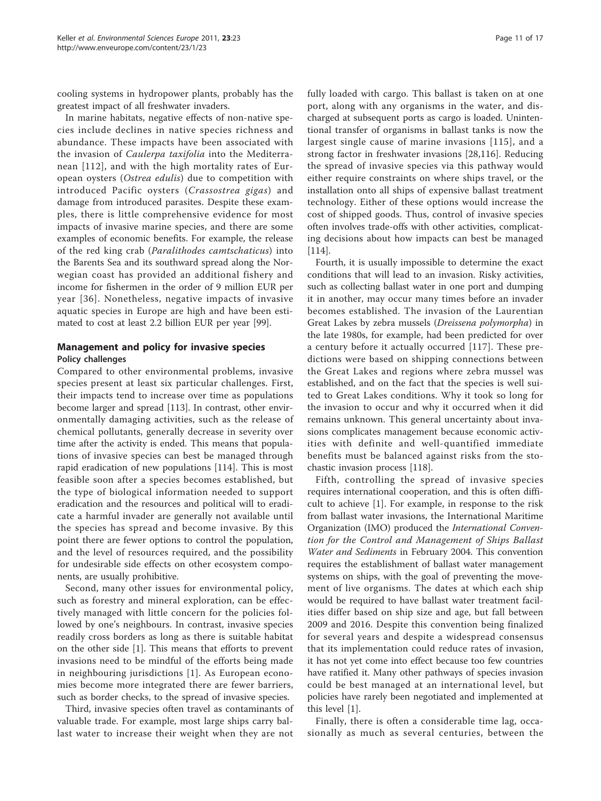cooling systems in hydropower plants, probably has the greatest impact of all freshwater invaders.

In marine habitats, negative effects of non-native species include declines in native species richness and abundance. These impacts have been associated with the invasion of Caulerpa taxifolia into the Mediterranean [[112](#page-17-0)], and with the high mortality rates of European oysters (Ostrea edulis) due to competition with introduced Pacific oysters (Crassostrea gigas) and damage from introduced parasites. Despite these examples, there is little comprehensive evidence for most impacts of invasive marine species, and there are some examples of economic benefits. For example, the release of the red king crab (Paralithodes camtschaticus) into the Barents Sea and its southward spread along the Norwegian coast has provided an additional fishery and income for fishermen in the order of 9 million EUR per year [[36](#page-15-0)]. Nonetheless, negative impacts of invasive aquatic species in Europe are high and have been estimated to cost at least 2.2 billion EUR per year [\[99\]](#page-16-0).

#### Management and policy for invasive species Policy challenges

Compared to other environmental problems, invasive species present at least six particular challenges. First, their impacts tend to increase over time as populations become larger and spread [[113](#page-17-0)]. In contrast, other environmentally damaging activities, such as the release of chemical pollutants, generally decrease in severity over time after the activity is ended. This means that populations of invasive species can best be managed through rapid eradication of new populations [[114](#page-17-0)]. This is most feasible soon after a species becomes established, but the type of biological information needed to support eradication and the resources and political will to eradicate a harmful invader are generally not available until the species has spread and become invasive. By this point there are fewer options to control the population, and the level of resources required, and the possibility for undesirable side effects on other ecosystem components, are usually prohibitive.

Second, many other issues for environmental policy, such as forestry and mineral exploration, can be effectively managed with little concern for the policies followed by one's neighbours. In contrast, invasive species readily cross borders as long as there is suitable habitat on the other side [\[1](#page-14-0)]. This means that efforts to prevent invasions need to be mindful of the efforts being made in neighbouring jurisdictions [\[1](#page-14-0)]. As European economies become more integrated there are fewer barriers, such as border checks, to the spread of invasive species.

Third, invasive species often travel as contaminants of valuable trade. For example, most large ships carry ballast water to increase their weight when they are not fully loaded with cargo. This ballast is taken on at one port, along with any organisms in the water, and discharged at subsequent ports as cargo is loaded. Unintentional transfer of organisms in ballast tanks is now the largest single cause of marine invasions [[115\]](#page-17-0), and a strong factor in freshwater invasions [\[28](#page-15-0)[,116](#page-17-0)]. Reducing the spread of invasive species via this pathway would either require constraints on where ships travel, or the installation onto all ships of expensive ballast treatment technology. Either of these options would increase the cost of shipped goods. Thus, control of invasive species often involves trade-offs with other activities, complicating decisions about how impacts can best be managed [[114\]](#page-17-0).

Fourth, it is usually impossible to determine the exact conditions that will lead to an invasion. Risky activities, such as collecting ballast water in one port and dumping it in another, may occur many times before an invader becomes established. The invasion of the Laurentian Great Lakes by zebra mussels (Dreissena polymorpha) in the late 1980s, for example, had been predicted for over a century before it actually occurred [[117](#page-17-0)]. These predictions were based on shipping connections between the Great Lakes and regions where zebra mussel was established, and on the fact that the species is well suited to Great Lakes conditions. Why it took so long for the invasion to occur and why it occurred when it did remains unknown. This general uncertainty about invasions complicates management because economic activities with definite and well-quantified immediate benefits must be balanced against risks from the stochastic invasion process [\[118\]](#page-17-0).

Fifth, controlling the spread of invasive species requires international cooperation, and this is often difficult to achieve [[1\]](#page-14-0). For example, in response to the risk from ballast water invasions, the International Maritime Organization (IMO) produced the International Convention for the Control and Management of Ships Ballast Water and Sediments in February 2004. This convention requires the establishment of ballast water management systems on ships, with the goal of preventing the movement of live organisms. The dates at which each ship would be required to have ballast water treatment facilities differ based on ship size and age, but fall between 2009 and 2016. Despite this convention being finalized for several years and despite a widespread consensus that its implementation could reduce rates of invasion, it has not yet come into effect because too few countries have ratified it. Many other pathways of species invasion could be best managed at an international level, but policies have rarely been negotiated and implemented at this level [\[1](#page-14-0)].

Finally, there is often a considerable time lag, occasionally as much as several centuries, between the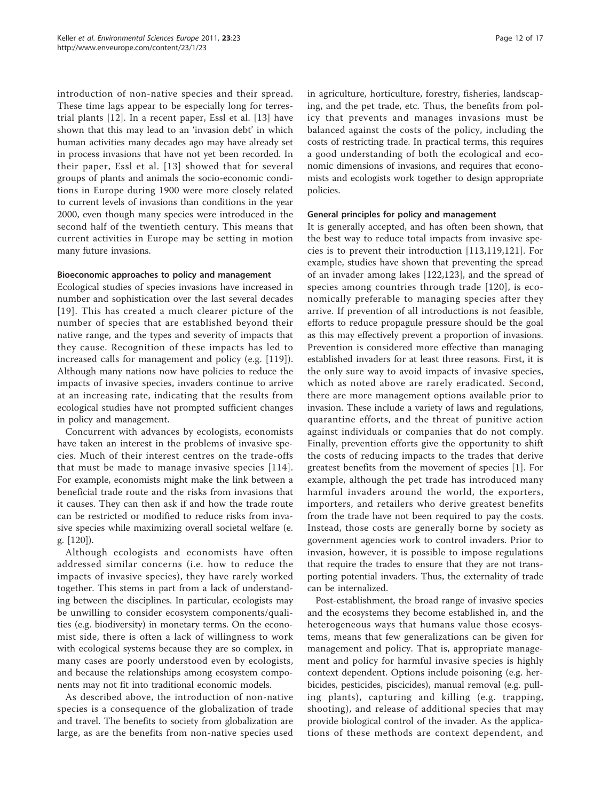introduction of non-native species and their spread. These time lags appear to be especially long for terrestrial plants [\[12](#page-14-0)]. In a recent paper, Essl et al. [[13\]](#page-15-0) have shown that this may lead to an 'invasion debt' in which human activities many decades ago may have already set in process invasions that have not yet been recorded. In their paper, Essl et al. [[13](#page-15-0)] showed that for several groups of plants and animals the socio-economic conditions in Europe during 1900 were more closely related to current levels of invasions than conditions in the year 2000, even though many species were introduced in the second half of the twentieth century. This means that current activities in Europe may be setting in motion many future invasions.

#### Bioeconomic approaches to policy and management

Ecological studies of species invasions have increased in number and sophistication over the last several decades [[19\]](#page-15-0). This has created a much clearer picture of the number of species that are established beyond their native range, and the types and severity of impacts that they cause. Recognition of these impacts has led to increased calls for management and policy (e.g. [[119\]](#page-17-0)). Although many nations now have policies to reduce the impacts of invasive species, invaders continue to arrive at an increasing rate, indicating that the results from ecological studies have not prompted sufficient changes in policy and management.

Concurrent with advances by ecologists, economists have taken an interest in the problems of invasive species. Much of their interest centres on the trade-offs that must be made to manage invasive species [[114\]](#page-17-0). For example, economists might make the link between a beneficial trade route and the risks from invasions that it causes. They can then ask if and how the trade route can be restricted or modified to reduce risks from invasive species while maximizing overall societal welfare (e. g. [[120\]](#page-17-0)).

Although ecologists and economists have often addressed similar concerns (i.e. how to reduce the impacts of invasive species), they have rarely worked together. This stems in part from a lack of understanding between the disciplines. In particular, ecologists may be unwilling to consider ecosystem components/qualities (e.g. biodiversity) in monetary terms. On the economist side, there is often a lack of willingness to work with ecological systems because they are so complex, in many cases are poorly understood even by ecologists, and because the relationships among ecosystem components may not fit into traditional economic models.

As described above, the introduction of non-native species is a consequence of the globalization of trade and travel. The benefits to society from globalization are large, as are the benefits from non-native species used in agriculture, horticulture, forestry, fisheries, landscaping, and the pet trade, etc. Thus, the benefits from policy that prevents and manages invasions must be balanced against the costs of the policy, including the costs of restricting trade. In practical terms, this requires a good understanding of both the ecological and economic dimensions of invasions, and requires that economists and ecologists work together to design appropriate policies.

#### General principles for policy and management

It is generally accepted, and has often been shown, that the best way to reduce total impacts from invasive species is to prevent their introduction [[113](#page-17-0),[119,121](#page-17-0)]. For example, studies have shown that preventing the spread of an invader among lakes [[122,123](#page-17-0)], and the spread of species among countries through trade [[120\]](#page-17-0), is economically preferable to managing species after they arrive. If prevention of all introductions is not feasible, efforts to reduce propagule pressure should be the goal as this may effectively prevent a proportion of invasions. Prevention is considered more effective than managing established invaders for at least three reasons. First, it is the only sure way to avoid impacts of invasive species, which as noted above are rarely eradicated. Second, there are more management options available prior to invasion. These include a variety of laws and regulations, quarantine efforts, and the threat of punitive action against individuals or companies that do not comply. Finally, prevention efforts give the opportunity to shift the costs of reducing impacts to the trades that derive greatest benefits from the movement of species [[1\]](#page-14-0). For example, although the pet trade has introduced many harmful invaders around the world, the exporters, importers, and retailers who derive greatest benefits from the trade have not been required to pay the costs. Instead, those costs are generally borne by society as government agencies work to control invaders. Prior to invasion, however, it is possible to impose regulations that require the trades to ensure that they are not transporting potential invaders. Thus, the externality of trade can be internalized.

Post-establishment, the broad range of invasive species and the ecosystems they become established in, and the heterogeneous ways that humans value those ecosystems, means that few generalizations can be given for management and policy. That is, appropriate management and policy for harmful invasive species is highly context dependent. Options include poisoning (e.g. herbicides, pesticides, piscicides), manual removal (e.g. pulling plants), capturing and killing (e.g. trapping, shooting), and release of additional species that may provide biological control of the invader. As the applications of these methods are context dependent, and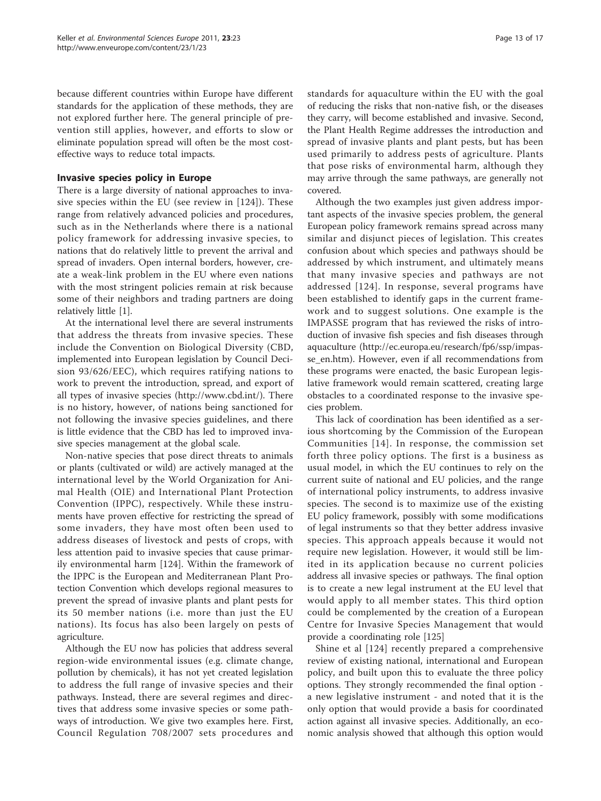because different countries within Europe have different standards for the application of these methods, they are not explored further here. The general principle of prevention still applies, however, and efforts to slow or eliminate population spread will often be the most costeffective ways to reduce total impacts.

#### Invasive species policy in Europe

There is a large diversity of national approaches to invasive species within the EU (see review in [[124](#page-17-0)]). These range from relatively advanced policies and procedures, such as in the Netherlands where there is a national policy framework for addressing invasive species, to nations that do relatively little to prevent the arrival and spread of invaders. Open internal borders, however, create a weak-link problem in the EU where even nations with the most stringent policies remain at risk because some of their neighbors and trading partners are doing relatively little [\[1\]](#page-14-0).

At the international level there are several instruments that address the threats from invasive species. These include the Convention on Biological Diversity (CBD, implemented into European legislation by Council Decision 93/626/EEC), which requires ratifying nations to work to prevent the introduction, spread, and export of all types of invasive species [\(http://www.cbd.int/](http://www.cbd.int/)). There is no history, however, of nations being sanctioned for not following the invasive species guidelines, and there is little evidence that the CBD has led to improved invasive species management at the global scale.

Non-native species that pose direct threats to animals or plants (cultivated or wild) are actively managed at the international level by the World Organization for Animal Health (OIE) and International Plant Protection Convention (IPPC), respectively. While these instruments have proven effective for restricting the spread of some invaders, they have most often been used to address diseases of livestock and pests of crops, with less attention paid to invasive species that cause primarily environmental harm [[124\]](#page-17-0). Within the framework of the IPPC is the European and Mediterranean Plant Protection Convention which develops regional measures to prevent the spread of invasive plants and plant pests for its 50 member nations (i.e. more than just the EU nations). Its focus has also been largely on pests of agriculture.

Although the EU now has policies that address several region-wide environmental issues (e.g. climate change, pollution by chemicals), it has not yet created legislation to address the full range of invasive species and their pathways. Instead, there are several regimes and directives that address some invasive species or some pathways of introduction. We give two examples here. First, Council Regulation 708/2007 sets procedures and standards for aquaculture within the EU with the goal of reducing the risks that non-native fish, or the diseases they carry, will become established and invasive. Second, the Plant Health Regime addresses the introduction and spread of invasive plants and plant pests, but has been used primarily to address pests of agriculture. Plants that pose risks of environmental harm, although they may arrive through the same pathways, are generally not covered.

Although the two examples just given address important aspects of the invasive species problem, the general European policy framework remains spread across many similar and disjunct pieces of legislation. This creates confusion about which species and pathways should be addressed by which instrument, and ultimately means that many invasive species and pathways are not addressed [\[124](#page-17-0)]. In response, several programs have been established to identify gaps in the current framework and to suggest solutions. One example is the IMPASSE program that has reviewed the risks of introduction of invasive fish species and fish diseases through aquaculture [\(http://ec.europa.eu/research/fp6/ssp/impas](http://ec.europa.eu/research/fp6/ssp/impasse_en.htm)[se\\_en.htm\)](http://ec.europa.eu/research/fp6/ssp/impasse_en.htm). However, even if all recommendations from these programs were enacted, the basic European legislative framework would remain scattered, creating large obstacles to a coordinated response to the invasive species problem.

This lack of coordination has been identified as a serious shortcoming by the Commission of the European Communities [[14\]](#page-15-0). In response, the commission set forth three policy options. The first is a business as usual model, in which the EU continues to rely on the current suite of national and EU policies, and the range of international policy instruments, to address invasive species. The second is to maximize use of the existing EU policy framework, possibly with some modifications of legal instruments so that they better address invasive species. This approach appeals because it would not require new legislation. However, it would still be limited in its application because no current policies address all invasive species or pathways. The final option is to create a new legal instrument at the EU level that would apply to all member states. This third option could be complemented by the creation of a European Centre for Invasive Species Management that would provide a coordinating role [[125](#page-17-0)]

Shine et al [[124](#page-17-0)] recently prepared a comprehensive review of existing national, international and European policy, and built upon this to evaluate the three policy options. They strongly recommended the final option a new legislative instrument - and noted that it is the only option that would provide a basis for coordinated action against all invasive species. Additionally, an economic analysis showed that although this option would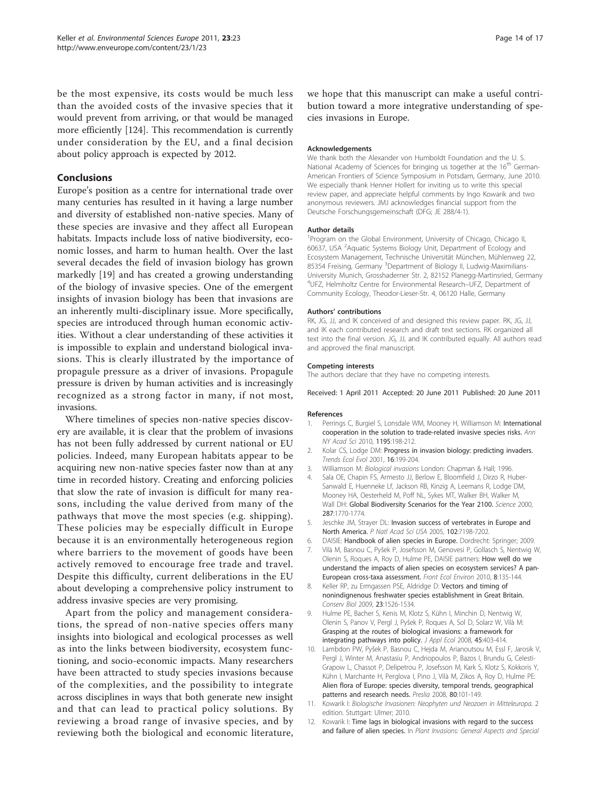<span id="page-14-0"></span>be the most expensive, its costs would be much less than the avoided costs of the invasive species that it would prevent from arriving, or that would be managed more efficiently [\[124\]](#page-17-0). This recommendation is currently under consideration by the EU, and a final decision about policy approach is expected by 2012.

#### Conclusions

Europe's position as a centre for international trade over many centuries has resulted in it having a large number and diversity of established non-native species. Many of these species are invasive and they affect all European habitats. Impacts include loss of native biodiversity, economic losses, and harm to human health. Over the last several decades the field of invasion biology has grown markedly [\[19](#page-15-0)] and has created a growing understanding of the biology of invasive species. One of the emergent insights of invasion biology has been that invasions are an inherently multi-disciplinary issue. More specifically, species are introduced through human economic activities. Without a clear understanding of these activities it is impossible to explain and understand biological invasions. This is clearly illustrated by the importance of propagule pressure as a driver of invasions. Propagule pressure is driven by human activities and is increasingly recognized as a strong factor in many, if not most, invasions.

Where timelines of species non-native species discovery are available, it is clear that the problem of invasions has not been fully addressed by current national or EU policies. Indeed, many European habitats appear to be acquiring new non-native species faster now than at any time in recorded history. Creating and enforcing policies that slow the rate of invasion is difficult for many reasons, including the value derived from many of the pathways that move the most species (e.g. shipping). These policies may be especially difficult in Europe because it is an environmentally heterogeneous region where barriers to the movement of goods have been actively removed to encourage free trade and travel. Despite this difficulty, current deliberations in the EU about developing a comprehensive policy instrument to address invasive species are very promising.

Apart from the policy and management considerations, the spread of non-native species offers many insights into biological and ecological processes as well as into the links between biodiversity, ecosystem functioning, and socio-economic impacts. Many researchers have been attracted to study species invasions because of the complexities, and the possibility to integrate across disciplines in ways that both generate new insight and that can lead to practical policy solutions. By reviewing a broad range of invasive species, and by reviewing both the biological and economic literature,

we hope that this manuscript can make a useful contribution toward a more integrative understanding of species invasions in Europe.

#### Acknowledgements

We thank both the Alexander von Humboldt Foundation and the U. S. National Academy of Sciences for bringing us together at the 16<sup>th</sup> German-American Frontiers of Science Symposium in Potsdam, Germany, June 2010. We especially thank Henner Hollert for inviting us to write this special review paper, and appreciate helpful comments by Ingo Kowarik and two anonymous reviewers. JMJ acknowledges financial support from the Deutsche Forschungsgemeinschaft (DFG; JE 288/4-1).

#### Author details

<sup>1</sup> Program on the Global Environment, University of Chicago, Chicago IL 60637, USA <sup>2</sup> Aquatic Systems Biology Unit, Department of Ecology and Ecosystem Management, Technische Universität München, Mühlenweg 22, 85354 Freising, Germany <sup>3</sup>Department of Biology II, Ludwig-Maximilians-University Munich, Grosshaderner Str. 2, 82152 Planegg-Martinsried, Germany 4 UFZ, Helmholtz Centre for Environmental Research–UFZ, Department of Community Ecology, Theodor-Lieser-Str. 4, 06120 Halle, Germany

#### Authors' contributions

RK, JG, JJ, and IK conceived of and designed this review paper. RK, JG, JJ, and IK each contributed research and draft text sections. RK organized all text into the final version. JG, JJ, and IK contributed equally. All authors read and approved the final manuscript.

#### Competing interests

The authors declare that they have no competing interests.

#### Received: 1 April 2011 Accepted: 20 June 2011 Published: 20 June 2011

#### References

- 1. Perrings C, Burgiel S, Lonsdale WM, Mooney H, Williamson M: [International](http://www.ncbi.nlm.nih.gov/pubmed/20536824?dopt=Abstract) [cooperation in the solution to trade-related invasive species risks.](http://www.ncbi.nlm.nih.gov/pubmed/20536824?dopt=Abstract) Ann NY Acad Sci 2010, 1195:198-212.
- 2. Kolar CS, Lodge DM: [Progress in invasion biology: predicting invaders.](http://www.ncbi.nlm.nih.gov/pubmed/11245943?dopt=Abstract) Trends Ecol Evol 2001, 16:199-204.
- 3. Williamson M: Biological invasions London: Chapman & Hall; 1996.
- Sala OE, Chapin FS, Armesto JJ, Berlow E, Bloomfield J, Dirzo R, Huber-Sanwald E, Huenneke Lf, Jackson RB, Kinzig A, Leemans R, Lodge DM, Mooney HA, Oesterheld M, Poff NL, Sykes MT, Walker BH, Walker M, Wall DH: [Global Biodiversity Scenarios for the Year 2100.](http://www.ncbi.nlm.nih.gov/pubmed/10710299?dopt=Abstract) Science 2000, 287:1770-1774.
- 5. Jeschke JM, Strayer DL: Invasion success of vertebrates in Europe and North America. P Natl Acad Sci USA 2005, 102:7198-7202.
- 6. DAISIE: Handbook of alien species in Europe. Dordrecht: Springer; 2009.
- Vilà M, Basnou C, Pyšek P, Josefsson M, Genovesi P, Gollasch S, Nentwig W, Olenin S, Roques A, Roy D, Hulme PE, DAISIE partners: How well do we understand the impacts of alien species on ecosystem services? A pan-European cross-taxa assessment. Front Ecol Environ 2010, 8:135-144.
- 8. Keller RP, zu Ermgassen PSE, Aldridge D: [Vectors and timing of](http://www.ncbi.nlm.nih.gov/pubmed/19459890?dopt=Abstract) [nonindignenous freshwater species establishment in Great Britain.](http://www.ncbi.nlm.nih.gov/pubmed/19459890?dopt=Abstract) Conserv Biol 2009, 23:1526-1534.
- Hulme PE, Bacher S, Kenis M, Klotz S, Kühn I, Minchin D, Nentwig W, Olenin S, Panov V, Pergl J, Pyšek P, Roques A, Sol D, Solarz W, Vilà M: Grasping at the routes of biological invasions: a framework for integrating pathways into policy. J Appl Ecol 2008, 45:403-414.
- 10. Lambdon PW, Pyšek P, Basnou C, Hejda M, Arianoutsou M, Essl F, Jarosik V, Pergl J, Winter M, Anastasiu P, Andriopoulos P, Bazos I, Brundu G, Celesti-Grapow L, Chassot P, Delipetrou P, Josefsson M, Kark S, Klotz S, Kokkoris Y, Kühn I, Marchante H, Perglova I, Pino J, Vilà M, Zikos A, Roy D, Hulme PE: Alien flora of Europe: species diversity, temporal trends, geographical patterns and research needs. Preslia 2008, 80:101-149.
- 11. Kowarik I: Biologische Invasionen: Neophyten und Neozoen in Mitteleuropa. 2 edition. Stuttgart: Ulmer; 2010.
- 12. Kowarik I: Time lags in biological invasions with regard to the success and failure of alien species. In Plant Invasions: General Aspects and Special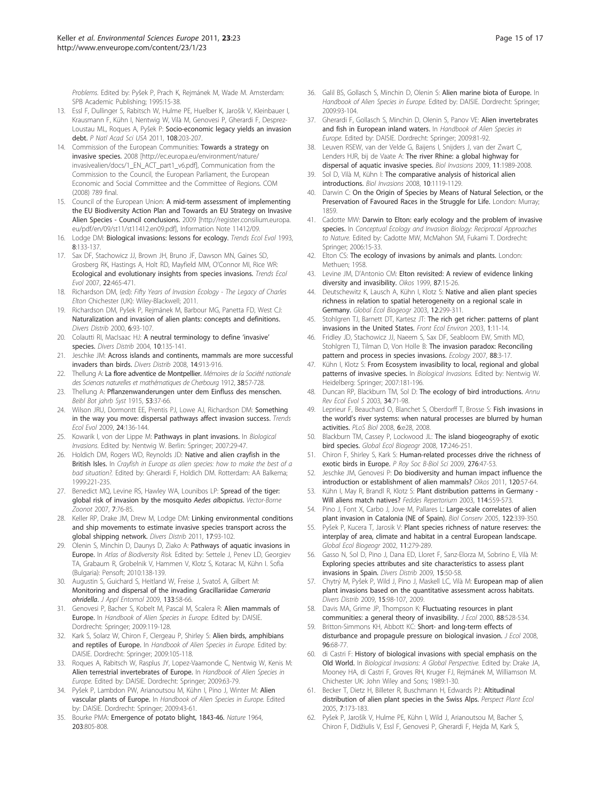<span id="page-15-0"></span>Problems. Edited by: Pyšek P, Prach K, Rejmánek M, Wade M. Amsterdam: SPB Academic Publishing; 1995:15-38.

- 13. Essl F, Dullinger S, Rabitsch W, Hulme PE, Huelber K, Jarošík V, Kleinbauer I, Krausmann F, Kühn I, Nentwig W, Vilà M, Genovesi P, Gherardi F, Desprez-Loustau ML, Roques A, Pyšek P: Socio-economic legacy yields an invasion debt. P Natl Acad Sci USA 2011, 108:203-207.
- 14. Commission of the European Communities: Towards a strategy on invasive species. 2008 [[http://ec.europa.eu/environment/nature/](http://ec.europa.eu/environment/nature/invasivealien/docs/1_EN_ACT_part1_v6.pdf) [invasivealien/docs/1\\_EN\\_ACT\\_part1\\_v6.pdf\]](http://ec.europa.eu/environment/nature/invasivealien/docs/1_EN_ACT_part1_v6.pdf), Communication from the Commission to the Council, the European Parliament, the European Economic and Social Committee and the Committee of Regions. COM (2008) 789 final.
- 15. Council of the European Union: A mid-term assessment of implementing the EU Biodiversity Action Plan and Towards an EU Strategy on Invasive Alien Species - Council conclusions. 2009 [[http://register.consilium.europa.](http://register.consilium.europa.eu/pdf/en/09/st11/st11412.en09.pdf) [eu/pdf/en/09/st11/st11412.en09.pdf\]](http://register.consilium.europa.eu/pdf/en/09/st11/st11412.en09.pdf), Information Note 11412/09.
- 16. Lodge DM: [Biological invasions: lessons for ecology.](http://www.ncbi.nlm.nih.gov/pubmed/21236129?dopt=Abstract) Trends Ecol Evol 1993, 8:133-137.
- 17. Sax DF, Stachowicz JJ, Brown JH, Bruno JF, Dawson MN, Gaines SD, Grosberg RK, Hastings A, Holt RD, Mayfield MM, O'Connor MI, Rice WR: [Ecological and evolutionary insights from species invasions.](http://www.ncbi.nlm.nih.gov/pubmed/17640765?dopt=Abstract) Trends Ecol Evol 2007, 22:465-471.
- 18. Richardson DM, (ed): Fifty Years of Invasion Ecology The Legacy of Charles Elton Chichester (UK): Wiley-Blackwell; 2011.
- 19. Richardson DM, Pyšek P, Rejmánek M, Barbour MG, Panetta FD, West CJ: Naturalization and invasion of alien plants: concepts and definitions. Divers Distrib 2000, 6:93-107.
- 20. Colautti RI, MacIsaac HJ: A neutral terminology to define 'invasive' species. Divers Distrib 2004, 10:135-141.
- 21. Jeschke JM: Across islands and continents, mammals are more successful invaders than birds. Divers Distrib 2008, 14:913-916.
- 22. Thellung A: [La flore adventice de Montpellier.](http://www.ncbi.nlm.nih.gov/pubmed/21698787?dopt=Abstract) Mémoires de la Société nationale des Sciences naturelles et mathématiques de Cherbourg 1912, 38:57-728.
- 23. Thellung A: Pflanzenwanderungen unter dem Einfluss des menschen. Beibl Bot jahrb Syst 1915, 53:37-66.
- 24. Wilson JRU, Dormontt EE, Prentis PJ, Lowe AJ, Richardson DM: [Something](http://www.ncbi.nlm.nih.gov/pubmed/19178981?dopt=Abstract) [in the way you move: dispersal pathways affect invasion success.](http://www.ncbi.nlm.nih.gov/pubmed/19178981?dopt=Abstract) Trends Ecol Evol 2009, 24:136-144.
- 25. Kowarik I, von der Lippe M: Pathways in plant invasions. In Biological Invasions. Edited by: Nentwig W. Berlin: Springer; 2007:29-47.
- 26. Holdich DM, Rogers WD, Reynolds JD: Native and alien crayfish in the British Isles. In Crayfish in Europe as alien species: how to make the best of a bad situation?. Edited by: Gherardi F, Holdich DM. Rotterdam: AA Balkema; 1999:221-235.
- 27. Benedict MQ, Levine RS, Hawley WA, Lounibos LP: Spread of the tiger: global risk of invasion by the mosquito Aedes albopictus. Vector-Borne Zoonot 2007, 7:76-85.
- 28. Keller RP, Drake JM, Drew M, Lodge DM: Linking environmental conditions and ship movements to estimate invasive species transport across the global shipping network. Divers Distrib 2011, 17:93-102.
- 29. Olenin S, Minchin D, Daunys D, Ziako A: Pathways of aquatic invasions in Europe. In Atlas of Biodiversity Risk. Edited by: Settele J, Penev LD, Georgiev TA, Grabaum R, Grobelnik V, Hammen V, Klotz S, Kotarac M, Kühn I. Sofia (Bulgaria): Pensoft; 2010:138-139.
- 30. Augustin S, Guichard S, Heitland W, Freise J, Svatoš A, Gilbert M: Monitoring and dispersal of the invading Gracillariidae Cameraria ohridella. J Appl Entomol 2009, 133:58-66.
- 31. Genovesi P, Bacher S, Kobelt M, Pascal M, Scalera R: Alien mammals of Europe. In Handbook of Alien Species in Europe. Edited by: DAISIE. Dordrecht: Springer; 2009:119-128.
- 32. Kark S, Solarz W, Chiron F, Clergeau P, Shirley S: Alien birds, amphibians and reptiles of Europe. In Handbook of Alien Species in Europe. Edited by: DAISIE. Dordrecht: Springer; 2009:105-118.
- 33. Roques A, Rabitsch W, Rasplus JY, Lopez-Vaamonde C, Nentwig W, Kenis M: Alien terrestrial invertebrates of Europe. In Handbook of Alien Species in Europe. Edited by: DAISIE. Dordrecht: Springer; 2009:63-79.
- 34. Pyšek P, Lambdon PW, Arianoutsou M, Kühn I, Pino J, Winter M: Alien vascular plants of Europe. In Handbook of Alien Species in Europe. Edited by: DAISIE. Dordrecht: Springer; 2009:43-61.
- 35. Bourke PMA: Emergence of potato blight, 1843-46. Nature 1964, 203:805-808.
- 36. Galil BS, Gollasch S, Minchin D, Olenin S: Alien marine biota of Europe. In Handbook of Alien Species in Europe. Edited by: DAISIE. Dordrecht: Springer; 2009:93-104.
- 37. Gherardi F, Gollasch S, Minchin D, Olenin S, Panov VE: Alien invertebrates and fish in European inland waters. In Handbook of Alien Species in Europe. Edited by: DAISIE. Dordrecht: Springer; 2009:81-92.
- 38. Leuven RSEW, van der Velde G, Baijens I, Snijders J, van der Zwart C, Lenders HJR, bij de Vaate A: The river Rhine: a global highway for dispersal of aquatic invasive species. Biol Invasions 2009, 11:1989-2008.
- 39. Sol D, Vilà M, Kühn I: The comparative analysis of historical alien introductions. Biol Invasions 2008, 10:1119-1129.
- 40. Darwin C: On the Origin of Species by Means of Natural Selection, or the Preservation of Favoured Races in the Struggle for Life. London: Murray; 1859.
- 41. Cadotte MW: Darwin to Elton: early ecology and the problem of invasive species. In Conceptual Ecology and Invasion Biology: Reciprocal Approaches to Nature. Edited by: Cadotte MW, McMahon SM, Fukami T. Dordrecht: Springer; 2006:15-33.
- 42. Elton CS: The ecology of invasions by animals and plants. London: Methuen; 1958.
- 43. Levine JM, D'Antonio CM: Elton revisited: A review of evidence linking diversity and invasibility. Oikos 1999, 87:15-26.
- 44. Deutschewitz K, Lausch A, Kühn I, Klotz S: Native and alien plant species richness in relation to spatial heterogeneity on a regional scale in Germany. Global Ecol Biogeogr 2003, 12:299-311.
- 45. Stohlgren TJ, Barnett DT, Kartesz JT: The rich get richer: patterns of plant invasions in the United States. Front Ecol Environ 2003, 1:11-14.
- 46. Fridley JD, Stachowicz JJ, Naeem S, Sax DF, Seabloom EW, Smith MD, Stohlgren TJ, Tilman D, Von Holle B: [The invasion paradox: Reconciling](http://www.ncbi.nlm.nih.gov/pubmed/17489447?dopt=Abstract) [pattern and process in species invasions.](http://www.ncbi.nlm.nih.gov/pubmed/17489447?dopt=Abstract) Ecology 2007, 88:3-17.
- 47. Kühn I, Klotz S: From Ecosystem invasibility to local, regional and global patterns of invasive species. In Biological Invasions. Edited by: Nentwig W. Heidelberg: Springer; 2007:181-196.
- 48. Duncan RP, Blackburn TM, Sol D: The ecology of bird introductions. Annu Rev Ecol Evol S 2003, 34:71-98.
- 49. Leprieur F, Beauchard O, Blanchet S, Oberdorff T, Brosse S: [Fish invasions in](http://www.ncbi.nlm.nih.gov/pubmed/18254661?dopt=Abstract) the world'[s river systems: when natural processes are blurred by human](http://www.ncbi.nlm.nih.gov/pubmed/18254661?dopt=Abstract) [activities.](http://www.ncbi.nlm.nih.gov/pubmed/18254661?dopt=Abstract) PLoS Biol 2008, 6:e28, 2008.
- 50. Blackburn TM, Cassey P, Lockwood JL: The island biogeography of exotic bird species. Global Ecol Biogeogr 2008, 17:246-251.
- 51. Chiron F, Shirley S, Kark S: Human-related processes drive the richness of exotic birds in Europe. P Roy Soc B-Biol Sci 2009, 276:47-53.
- 52. Jeschke JM, Genovesi P: Do biodiversity and human impact influence the introduction or establishment of alien mammals? Oikos 2011, 120:57-64.
- 53. Kühn I, May R, Brandl R, Klotz S: Plant distribution patterns in Germany Will aliens match natives? Feddes Repertorium 2003, 114:559-573.
- 54. Pino J, Font X, Carbo J, Jove M, Pallares L: Large-scale correlates of alien plant invasion in Catalonia (NE of Spain). Biol Conserv 2005, 122:339-350.
- 55. Pyšek P, Kucera T, Jarosik V: Plant species richness of nature reserves: the interplay of area, climate and habitat in a central European landscape. Global Ecol Biogeogr 2002, 11:279-289.
- 56. Gasso N, Sol D, Pino J, Dana ED, Lloret F, Sanz-Elorza M, Sobrino E, Vilà M: Exploring species attributes and site characteristics to assess plant invasions in Spain. Divers Distrib 2009, 15:50-58.
- 57. Chytrý M, Pyšek P, Wild J, Pino J, Maskell LC, Vilà M: European map of alien plant invasions based on the quantitative assessment across habitats. Divers Distrib 2009, 15:98-107, 2009.
- 58. Davis MA, Grime JP, Thompson K: Fluctuating resources in plant communities: a general theory of invasibility. J Ecol 2000, 88:528-534.
- 59. Britton-Simmons KH, Abbott KC: Short- and long-term effects of disturbance and propagule pressure on biological invasion. J Ecol 2008, 96:68-77.
- 60. di Castri F: History of biological invasions with special emphasis on the Old World. In Biological Invasions: A Global Perspective. Edited by: Drake JA, Mooney HA, di Castri F, Groves RH, Kruger FJ, Rejmánek M, Williamson M. Chichester UK: John Wiley and Sons; 1989:1-30.
- 61. Becker T, Dietz H, Billeter R, Buschmann H, Edwards PJ: Altitudinal distribution of alien plant species in the Swiss Alps. Perspect Plant Ecol 2005, 7:173-183.
- 62. Pyšek P, Jarošík V, Hulme PE, Kühn I, Wild J, Arianoutsou M, Bacher S, Chiron F, Didžiulis V, Essl F, Genovesi P, Gherardi F, Hejda M, Kark S,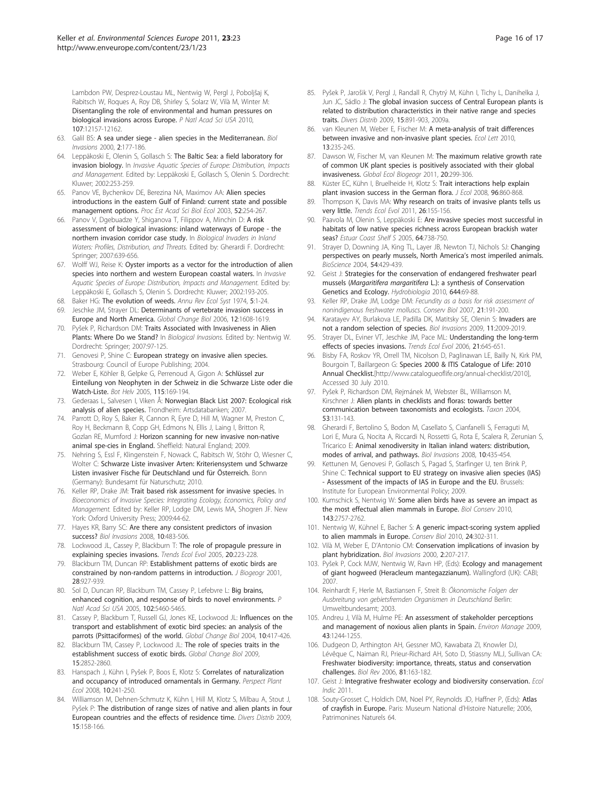<span id="page-16-0"></span>Lambdon PW, Desprez-Loustau ML, Nentwig W, Pergl J, Poboljšaj K, Rabitsch W, Roques A, Roy DB, Shirley S, Solarz W, Vilà M, Winter M: Disentangling the role of environmental and human pressures on biological invasions across Europe. P Natl Acad Sci USA 2010, 107:12157-12162.

- 63. Galil BS: A sea under siege alien species in the Mediterranean. Biol Invasions 2000, 2:177-186.
- 64. Leppäkoski E, Olenin S, Gollasch S: The Baltic Sea: a field laboratory for invasion biology. In Invasive Aquatic Species of Europe: Distribution, Impacts and Management. Edited by: Leppäkoski E, Gollasch S, Olenin S. Dordrecht: Kluwer; 2002:253-259.
- 65. Panov VE, Bychenkov DE, Berezina NA, Maximov AA: Alien species introductions in the eastern Gulf of Finland: current state and possible management options. Proc Est Acad Sci Biol Ecol 2003, 52:254-267.
- 66. Panov V, Dgebuadze Y, Shiganova T, Filippov A, Minchin D: A risk assessment of biological invasions: inland waterways of Europe - the northern invasion corridor case study. In Biological Invaders in Inland Waters: Profiles, Distribution, and Threats. Edited by: Gherardi F. Dordrecht: Springer; 2007:639-656.
- 67. Wolff WJ, Reise K: Oyster imports as a vector for the introduction of alien species into northern and western European coastal waters. In Invasive Aquatic Species of Europe: Distribution, Impacts and Management. Edited by: Leppäkoski E, Gollasch S, Olenin S. Dordrecht: Kluwer; 2002:193-205.
- 68. Baker HG: The evolution of weeds. Annu Rev Ecol Syst 1974, 5:1-24.
- 69. Jeschke JM, Strayer DL: Determinants of vertebrate invasion success in Europe and North America. Global Change Biol 2006, 12:1608-1619.
- 70. Pyšek P, Richardson DM: Traits Associated with Invasiveness in Alien Plants: Where Do we Stand? In Biological Invasions. Edited by: Nentwig W. Dordrecht: Springer; 2007:97-125.
- 71. Genovesi P, Shine C: European strategy on invasive alien species. Strasbourg: Council of Europe Publishing; 2004.
- 72. Weber E, Köhler B, Gelpke G, Perrenoud A, Gigon A: Schlüssel zur Einteilung von Neophyten in der Schweiz in die Schwarze Liste oder die Watch-Liste. Bot Helv 2005, 115:169-194.
- 73. Gederaas L, Salvesen I, Viken Å: Norwegian Black List 2007: Ecological risk analysis of alien species. Trondheim: Artsdatabanken; 2007.
- 74. Parrott D, Roy S, Baker R, Cannon R, Eyre D, Hill M, Wagner M, Preston C, Roy H, Beckmann B, Copp GH, Edmons N, Ellis J, Laing I, Britton R, Gozlan RE, Mumford J: Horizon scanning for new invasive non-native animal spe-cies in England. Sheffield: Natural England; 2009.
- 75. Nehring S, Essl F, Klingenstein F, Nowack C, Rabitsch W, Stöhr O, Wiesner C, Wolter C: Schwarze Liste invasiver Arten: Kriteriensystem und Schwarze Listen invasiver Fische für Deutschland und für Österreich. Bonn (Germany): Bundesamt für Naturschutz; 2010.
- 76. Keller RP, Drake JM: Trait based risk assessment for invasive species. In Bioeconomics of Invasive Species: Integrating Ecology, Economics, Policy and Management. Edited by: Keller RP, Lodge DM, Lewis MA, Shogren JF. New York: Oxford University Press; 2009:44-62.
- 77. Hayes KR, Barry SC: Are there any consistent predictors of invasion success? Biol Invasions 2008, 10:483-506.
- 78. Lockwood JL, Cassey P, Blackburn T: [The role of propagule pressure in](http://www.ncbi.nlm.nih.gov/pubmed/16701373?dopt=Abstract) [explaining species invasions.](http://www.ncbi.nlm.nih.gov/pubmed/16701373?dopt=Abstract) Trends Ecol Evol 2005, 20:223-228.
- 79. Blackburn TM, Duncan RP: Establishment patterns of exotic birds are constrained by non-random patterns in introduction. J Biogeogr 2001, 28:927-939.
- 80. Sol D, Duncan RP, Blackburn TM, Cassey P, Lefebvre L: Big brains, enhanced cognition, and response of birds to novel environments. P Natl Acad Sci USA 2005, 102:5460-5465.
- 81. Cassey P, Blackburn T, Russell GJ, Jones KE, Lockwood JL: Influences on the transport and establishment of exotic bird species: an analysis of the parrots (Psittaciformes) of the world. Global Change Biol 2004, 10:417-426.
- 82. Blackburn TM, Cassey P, Lockwood JL: The role of species traits in the establishment success of exotic birds. Global Change Biol 2009, 15:2852-2860.
- 83. Hanspach J, Kühn I, Pyšek P, Boos E, Klotz S: Correlates of naturalization and occupancy of introduced ornamentals in Germany. Perspect Plant Ecol 2008, 10:241-250.
- 84. Williamson M, Dehnen-Schmutz K, Kühn I, Hill M, Klotz S, Milbau A, Stout J, Pyšek P: The distribution of range sizes of native and alien plants in four European countries and the effects of residence time. Divers Distrib 2009, 15:158-166.
- 85. Pyšek P, Jarošik V, Pergl J, Randall R, Chytrý M, Kühn I, Tichy L, Danihelka J, Jun JC, Sádlo J: The global invasion success of Central European plants is related to distribution characteristics in their native range and species traits. Divers Distrib 2009, 15:891-903, 2009a.
- 86. van Kleunen M, Weber E, Fischer M: [A meta-analysis of trait differences](http://www.ncbi.nlm.nih.gov/pubmed/20002494?dopt=Abstract) [between invasive and non-invasive plant species.](http://www.ncbi.nlm.nih.gov/pubmed/20002494?dopt=Abstract) Ecol Lett 2010, 13:235-245.
- 87. Dawson W, Fischer M, van Kleunen M: The maximum relative growth rate of common UK plant species is positively associated with their global invasiveness. Global Ecol Biogeogr 2011, 20:299-306.
- 88. Küster EC, Kühn I, Bruelheide H, Klotz S: Trait interactions help explain plant invasion success in the German flora. J Ecol 2008, 96:860-868.
- 89. Thompson K, Davis MA: [Why research on traits of invasive plants tells us](http://www.ncbi.nlm.nih.gov/pubmed/21334760?dopt=Abstract) [very little.](http://www.ncbi.nlm.nih.gov/pubmed/21334760?dopt=Abstract) Trends Ecol Evol 2011, 26:155-156.
- 90. Paavola M, Olenin S, Leppäkoski E: Are invasive species most successful in habitats of low native species richness across European brackish water seas? Estuar Coast Shelf S 2005, 64:738-750.
- 91. Strayer D, Downing JA, King TL, Layer JB, Newton TJ, Nichols SJ: Changing perspectives on pearly mussels, North America's most imperiled animals. BioScience 2004, 54:429-439.
- 92. Geist J: Strategies for the conservation of endangered freshwater pearl mussels (Margaritifera margaritifera L.): a synthesis of Conservation Genetics and Ecology. Hydrobiologia 2010, 644:69-88.
- 93. Keller RP, Drake JM, Lodge DM: Fecundity as a basis for risk assessment of nonindigenous freshwater molluscs. Conserv Biol 2007, 21:191-200.
- 94. Karatayev AY, Burlakova LE, Padilla DK, Matitsky SE, Olenin S: Invaders are not a random selection of species. Biol Invasions 2009, 11:2009-2019.
- 95. Strayer DL, Eviner VT, Jeschke JM, Pace ML: [Understanding the long-term](http://www.ncbi.nlm.nih.gov/pubmed/16859805?dopt=Abstract) [effects of species invasions.](http://www.ncbi.nlm.nih.gov/pubmed/16859805?dopt=Abstract) Trends Ecol Evol 2006, 21:645-651.
- 96. Bisby FA, Roskov YR, Orrell TM, Nicolson D, Paglinawan LE, Bailly N, Kirk PM, Bourgoin T, Baillargeon G: Species 2000 & ITIS Catalogue of Life: 2010 Annual Checklist.[<http://www.catalogueoflife.org/annual-checklist/2010>], Accessed 30 July 2010.
- 97. Pyšek P, Richardson DM, Rejmánek M, Webster BL, Williamson M, Kirschner J: Alien plants in checklists and floras: towards better communication between taxonomists and ecologists. Taxon 2004, 53:131-143.
- 98. Gherardi F, Bertolino S, Bodon M, Casellato S, Cianfanelli S, Ferraguti M, Lori E, Mura G, Nocita A, Riccardi N, Rossetti G, Rota E, Scalera R, Zerunian S, Tricarico E: Animal xenodiversity in Italian inland waters: distribution, modes of arrival, and pathways. Biol Invasions 2008, 10:435-454.
- Kettunen M, Genovesi P, Gollasch S, Pagad S, Starfinger U, ten Brink P, Shine C: Technical support to EU strategy on invasive alien species (IAS) - Assessment of the impacts of IAS in Europe and the EU. Brussels: Institute for European Environmental Policy; 2009.
- 100. Kumschick S, Nentwig W: Some alien birds have as severe an impact as the most effectual alien mammals in Europe. Biol Conserv 2010, 143:2757-2762.
- 101. Nentwig W, Kühnel E, Bacher S: [A generic impact-scoring system applied](http://www.ncbi.nlm.nih.gov/pubmed/19604296?dopt=Abstract) [to alien mammals in Europe.](http://www.ncbi.nlm.nih.gov/pubmed/19604296?dopt=Abstract) Conserv Biol 2010, 24:302-311.
- 102. Vilà M, Weber E, D'Antonio CM: Conservation implications of invasion by plant hybridization. Biol Invasions 2000, 2:207-217.
- 103. Pyšek P, Cock MJW, Nentwig W, Ravn HP, (Eds): Ecology and management of giant hogweed (Heracleum mantegazzianum). Wallingford (UK): CABI; 2007.
- 104. Reinhardt F, Herle M, Bastiansen F, Streit B: Ökonomische Folgen der Ausbreitung von gebietsfremden Organismen in Deutschland Berlin: Umweltbundesamt; 2003.
- 105. Andreu J, Vilà M, Hulme PE: [An assessment of stakeholder perceptions](http://www.ncbi.nlm.nih.gov/pubmed/19214625?dopt=Abstract) [and management of noxious alien plants in Spain.](http://www.ncbi.nlm.nih.gov/pubmed/19214625?dopt=Abstract) Environ Manage 2009, 43:1244-1255.
- 106. Dudgeon D, Arthington AH, Gessner MO, Kawabata ZI, Knowler DJ, Lévêque C, Naiman RJ, Prieur-Richard AH, Soto D, Stiassny MLJ, Sullivan CA: [Freshwater biodiversity: importance, threats, status and conservation](http://www.ncbi.nlm.nih.gov/pubmed/16336747?dopt=Abstract) [challenges.](http://www.ncbi.nlm.nih.gov/pubmed/16336747?dopt=Abstract) Biol Rev 2006, 81:163-182.
- 107. Geist J: Integrative freshwater ecology and biodiversity conservation. Ecol Indic 2011.
- 108. Souty-Grosset C, Holdich DM, Noel PY, Reynolds JD, Haffner P, (Eds): Atlas of crayfish in Europe. Paris: Museum National d'Histoire Naturelle; 2006, Patrimonines Naturels 64.